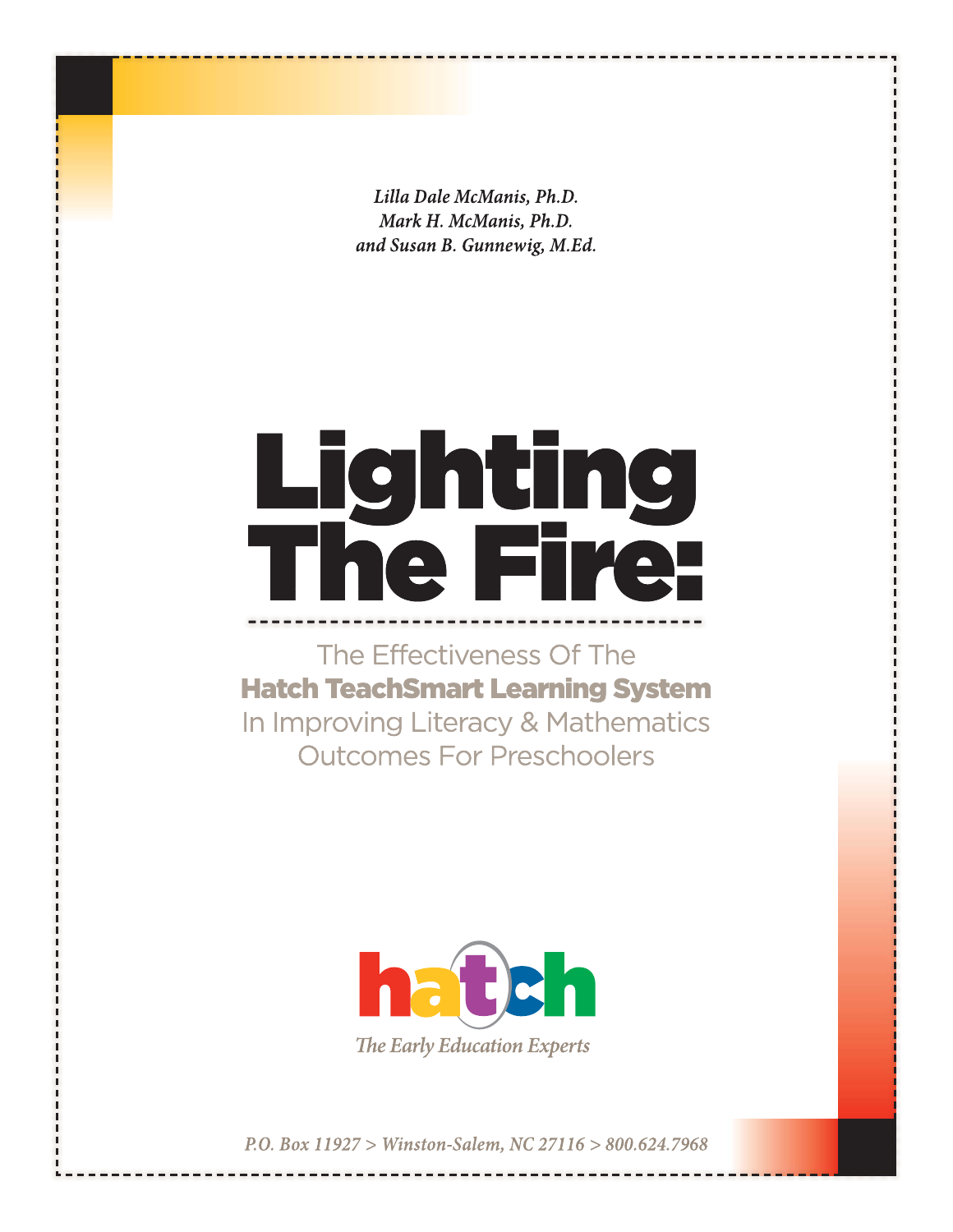Lilla Dale McManis, Ph.D. Mark H. McManis, Ph.D. and Susan B. Gunnewig, M.Ed.

# **Lighting<br>The Fire:**

The Effectiveness Of The **Hatch TeachSmart Learning System** In Improving Literacy & Mathematics **Outcomes For Preschoolers** 



P.O. Box 11927 > Winston-Salem, NC 27116 > 800.624.7968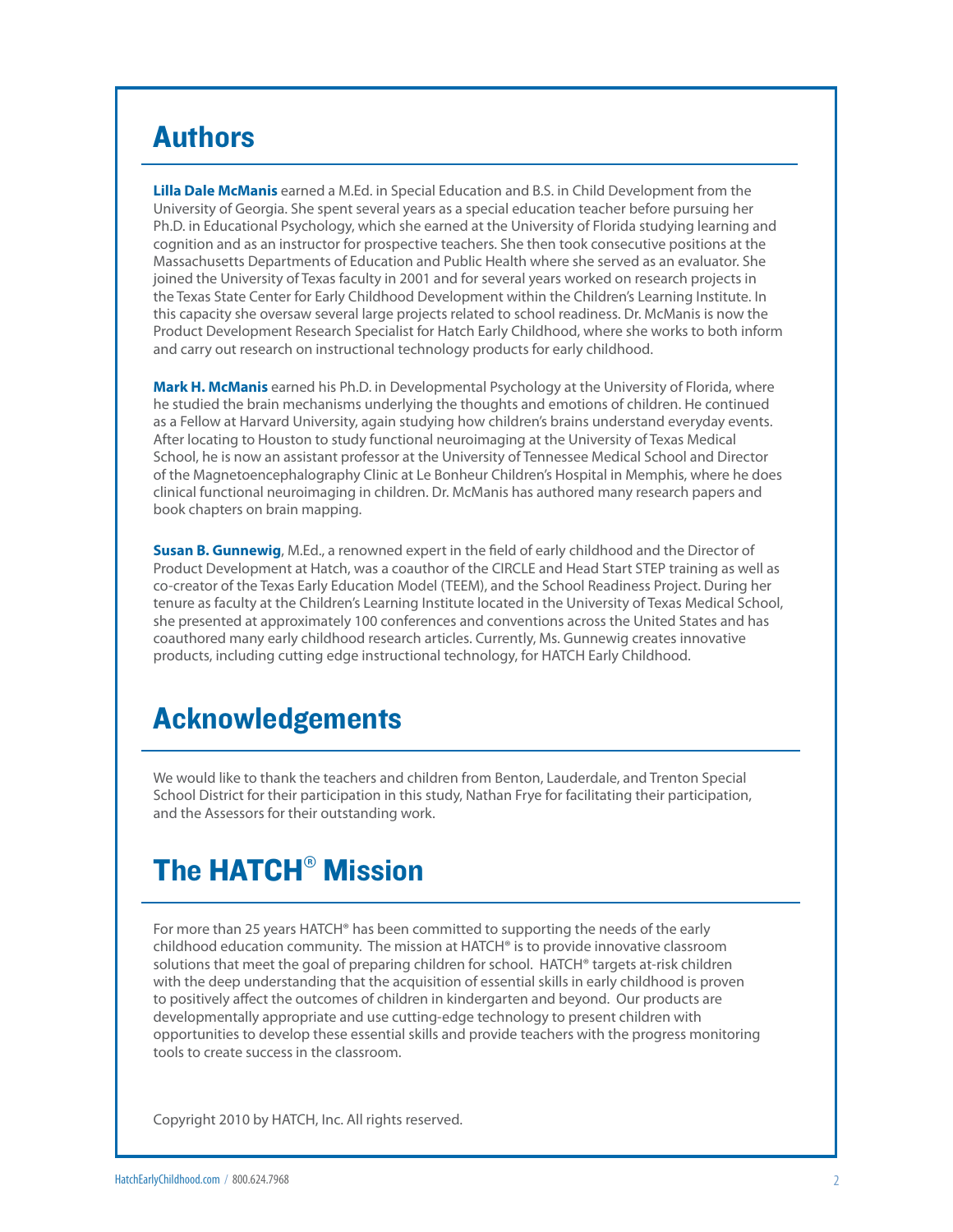# Authors

**Lilla Dale McManis** earned a M.Ed. in Special Education and B.S. in Child Development from the University of Georgia. She spent several years as a special education teacher before pursuing her Ph.D. in Educational Psychology, which she earned at the University of Florida studying learning and cognition and as an instructor for prospective teachers. She then took consecutive positions at the Massachusetts Departments of Education and Public Health where she served as an evaluator. She joined the University of Texas faculty in 2001 and for several years worked on research projects in the Texas State Center for Early Childhood Development within the Children's Learning Institute. In this capacity she oversaw several large projects related to school readiness. Dr. McManis is now the Product Development Research Specialist for Hatch Early Childhood, where she works to both inform and carry out research on instructional technology products for early childhood.

**Mark H. McManis** earned his Ph.D. in Developmental Psychology at the University of Florida, where he studied the brain mechanisms underlying the thoughts and emotions of children. He continued as a Fellow at Harvard University, again studying how children's brains understand everyday events. After locating to Houston to study functional neuroimaging at the University of Texas Medical School, he is now an assistant professor at the University of Tennessee Medical School and Director of the Magnetoencephalography Clinic at Le Bonheur Children's Hospital in Memphis, where he does clinical functional neuroimaging in children. Dr. McManis has authored many research papers and book chapters on brain mapping.

**Susan B. Gunnewig**, M.Ed., a renowned expert in the field of early childhood and the Director of Product Development at Hatch, was a coauthor of the CIRCLE and Head Start STEP training as well as co-creator of the Texas Early Education Model (TEEM), and the School Readiness Project. During her tenure as faculty at the Children's Learning Institute located in the University of Texas Medical School, she presented at approximately 100 conferences and conventions across the United States and has coauthored many early childhood research articles. Currently, Ms. Gunnewig creates innovative products, including cutting edge instructional technology, for HATCH Early Childhood.

# Acknowledgements

We would like to thank the teachers and children from Benton, Lauderdale, and Trenton Special School District for their participation in this study, Nathan Frye for facilitating their participation, and the Assessors for their outstanding work.

# The HATCH® Mission

For more than 25 years HATCH® has been committed to supporting the needs of the early childhood education community. The mission at HATCH® is to provide innovative classroom solutions that meet the goal of preparing children for school. HATCH® targets at-risk children with the deep understanding that the acquisition of essential skills in early childhood is proven to positively affect the outcomes of children in kindergarten and beyond. Our products are developmentally appropriate and use cutting-edge technology to present children with opportunities to develop these essential skills and provide teachers with the progress monitoring tools to create success in the classroom.

Copyright 2010 by HATCH, Inc. All rights reserved.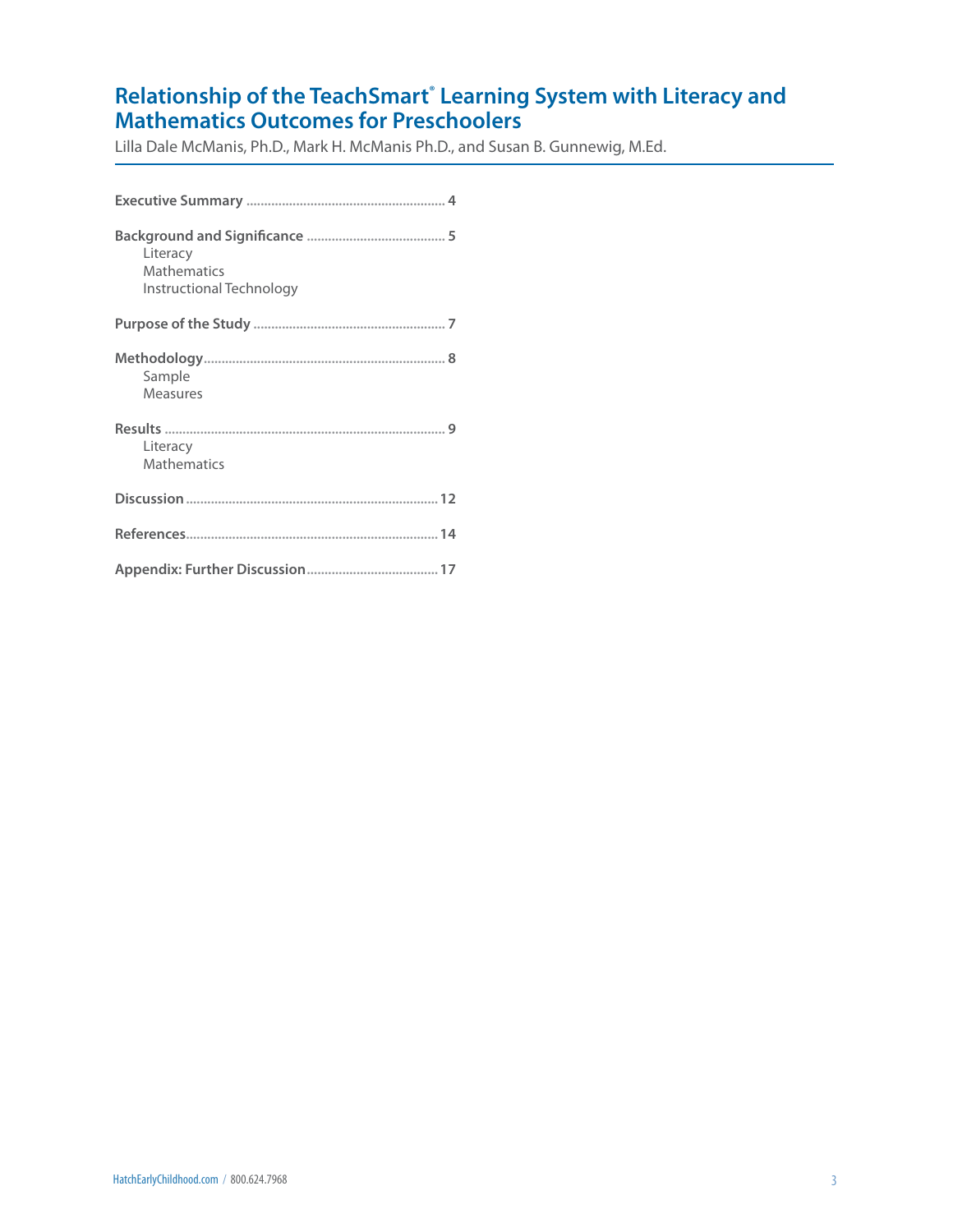# **Relationship of the TeachSmart<sup>®</sup> Learning System with Literacy and Mathematics Outcomes for Preschoolers**

Lilla Dale McManis, Ph.D., Mark H. McManis Ph.D., and Susan B. Gunnewig, M.Ed.

| Literacy<br><b>Mathematics</b><br>Instructional Technology |
|------------------------------------------------------------|
|                                                            |
| Sample<br><b>Measures</b>                                  |
| Literacy<br><b>Mathematics</b>                             |
|                                                            |
|                                                            |
|                                                            |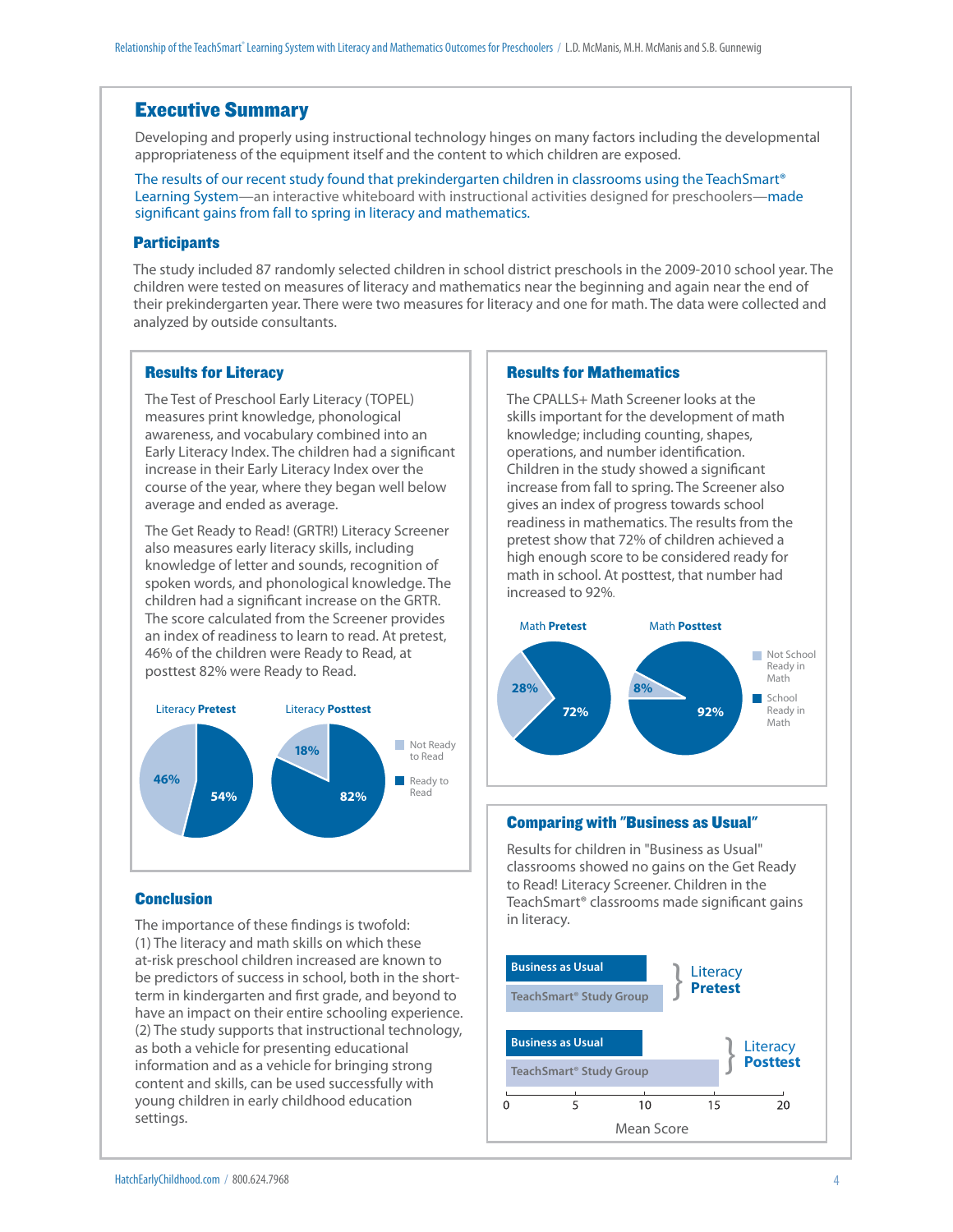# Executive Summary

Developing and properly using instructional technology hinges on many factors including the developmental appropriateness of the equipment itself and the content to which children are exposed.

The results of our recent study found that prekindergarten children in classrooms using the TeachSmart® Learning System—an interactive whiteboard with instructional activities designed for preschoolers—made significant gains from fall to spring in literacy and mathematics.

#### **Participants**

The study included 87 randomly selected children in school district preschools in the 2009-2010 school year. The children were tested on measures of literacy and mathematics near the beginning and again near the end of their prekindergarten year. There were two measures for literacy and one for math. The data were collected and analyzed by outside consultants.

#### Results for Literacy

The Test of Preschool Early Literacy (TOPEL) measures print knowledge, phonological awareness, and vocabulary combined into an Early Literacy Index. The children had a significant increase in their Early Literacy Index over the course of the year, where they began well below average and ended as average.

The Get Ready to Read! (GRTR!) Literacy Screener also measures early literacy skills, including knowledge of letter and sounds, recognition of spoken words, and phonological knowledge. The children had a significant increase on the GRTR. The score calculated from the Screener provides an index of readiness to learn to read. At pretest, 46% of the children were Ready to Read, at posttest 82% were Ready to Read.



#### **Conclusion**

The importance of these findings is twofold: (1) The literacy and math skills on which these at-risk preschool children increased are known to be predictors of success in school, both in the shortterm in kindergarten and first grade, and beyond to have an impact on their entire schooling experience. (2) The study supports that instructional technology, as both a vehicle for presenting educational information and as a vehicle for bringing strong content and skills, can be used successfully with young children in early childhood education settings.

#### Results for Mathematics

The CPALLS+ Math Screener looks at the skills important for the development of math knowledge; including counting, shapes, operations, and number identification. Children in the study showed a significant increase from fall to spring. The Screener also gives an index of progress towards school readiness in mathematics. The results from the pretest show that 72% of children achieved a high enough score to be considered ready for math in school. At posttest, that number had increased to 92%.



#### Comparing with "Business as Usual"

Results for children in "Business as Usual" classrooms showed no gains on the Get Ready to Read! Literacy Screener. Children in the TeachSmart<sup>®</sup> classrooms made significant gains in literacy.

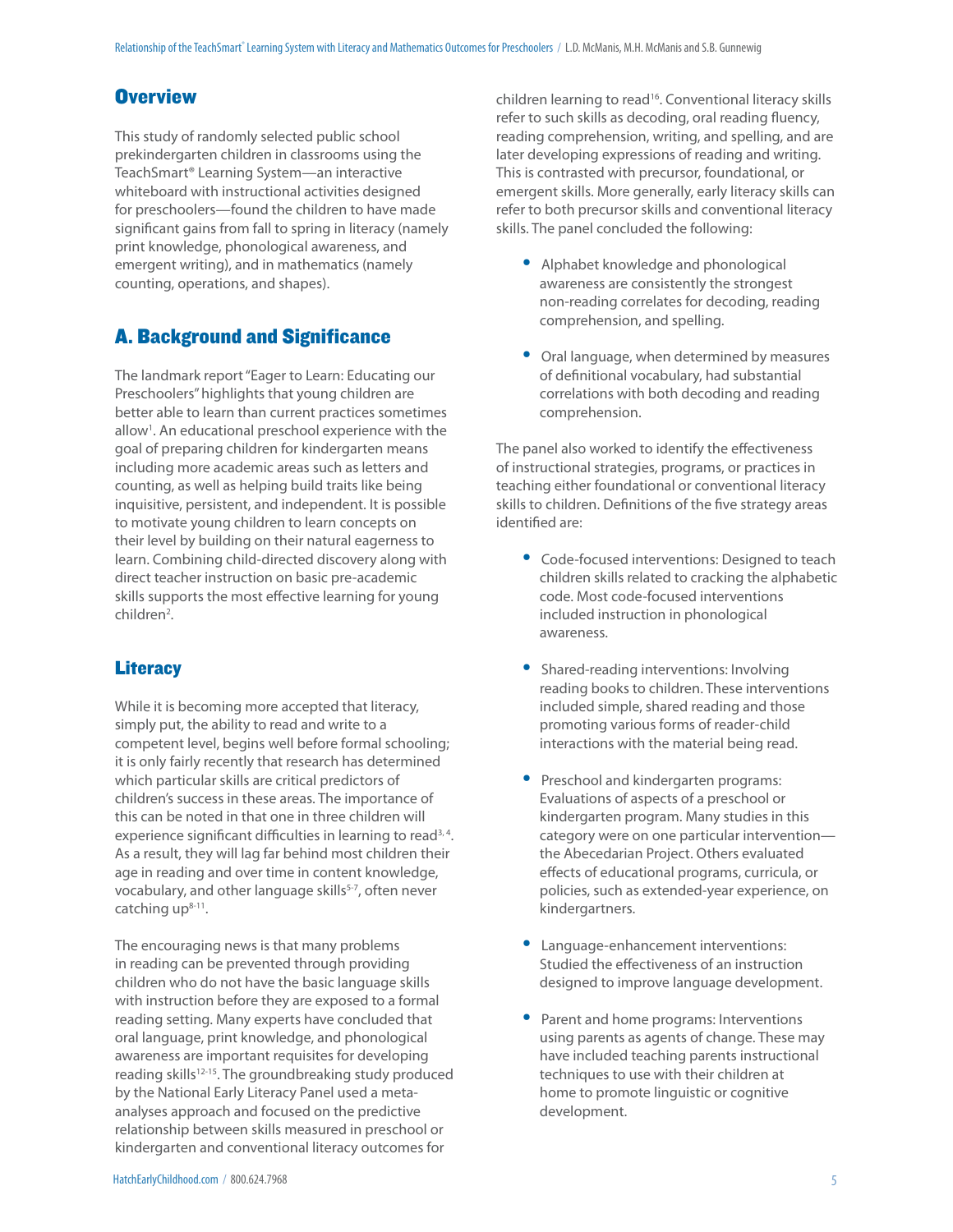# **Overview**

This study of randomly selected public school prekindergarten children in classrooms using the TeachSmart® Learning System—an interactive whiteboard with instructional activities designed for preschoolers—found the children to have made significant gains from fall to spring in literacy (namely print knowledge, phonological awareness, and emergent writing), and in mathematics (namely counting, operations, and shapes).

# A. Background and Significance

The landmark report "Eager to Learn: Educating our Preschoolers" highlights that young children are better able to learn than current practices sometimes allow<sup>1</sup>. An educational preschool experience with the goal of preparing children for kindergarten means including more academic areas such as letters and counting, as well as helping build traits like being inquisitive, persistent, and independent. It is possible to motivate young children to learn concepts on their level by building on their natural eagerness to learn. Combining child-directed discovery along with direct teacher instruction on basic pre-academic skills supports the most effective learning for young children<sup>2</sup>.

# **Literacy**

While it is becoming more accepted that literacy, simply put, the ability to read and write to a competent level, begins well before formal schooling; it is only fairly recently that research has determined which particular skills are critical predictors of children's success in these areas. The importance of this can be noted in that one in three children will experience significant difficulties in learning to read<sup>3,4</sup>. As a result, they will lag far behind most children their age in reading and over time in content knowledge, vocabulary, and other language skills<sup>5-7</sup>, often never catching  $up<sup>8-11</sup>$ .

The encouraging news is that many problems in reading can be prevented through providing children who do not have the basic language skills with instruction before they are exposed to a formal reading setting. Many experts have concluded that oral language, print knowledge, and phonological awareness are important requisites for developing reading skills<sup>12-15</sup>. The groundbreaking study produced by the National Early Literacy Panel used a metaanalyses approach and focused on the predictive relationship between skills measured in preschool or kindergarten and conventional literacy outcomes for

children learning to read<sup>16</sup>. Conventional literacy skills refer to such skills as decoding, oral reading fluency, reading comprehension, writing, and spelling, and are later developing expressions of reading and writing. This is contrasted with precursor, foundational, or emergent skills. More generally, early literacy skills can refer to both precursor skills and conventional literacy skills. The panel concluded the following:

- Alphabet knowledge and phonological awareness are consistently the strongest non-reading correlates for decoding, reading comprehension, and spelling.
- Oral language, when determined by measures of definitional vocabulary, had substantial correlations with both decoding and reading comprehension.

The panel also worked to identify the effectiveness of instructional strategies, programs, or practices in teaching either foundational or conventional literacy skills to children. Definitions of the five strategy areas identified are:

- Code-focused interventions: Designed to teach children skills related to cracking the alphabetic code. Most code-focused interventions included instruction in phonological awareness.
- Shared-reading interventions: Involving reading books to children. These interventions included simple, shared reading and those promoting various forms of reader-child interactions with the material being read.
- Preschool and kindergarten programs: Evaluations of aspects of a preschool or kindergarten program. Many studies in this category were on one particular intervention the Abecedarian Project. Others evaluated effects of educational programs, curricula, or policies, such as extended-year experience, on kindergartners.
- Language-enhancement interventions: Studied the effectiveness of an instruction designed to improve language development.
- Parent and home programs: Interventions using parents as agents of change. These may have included teaching parents instructional techniques to use with their children at home to promote linguistic or cognitive development.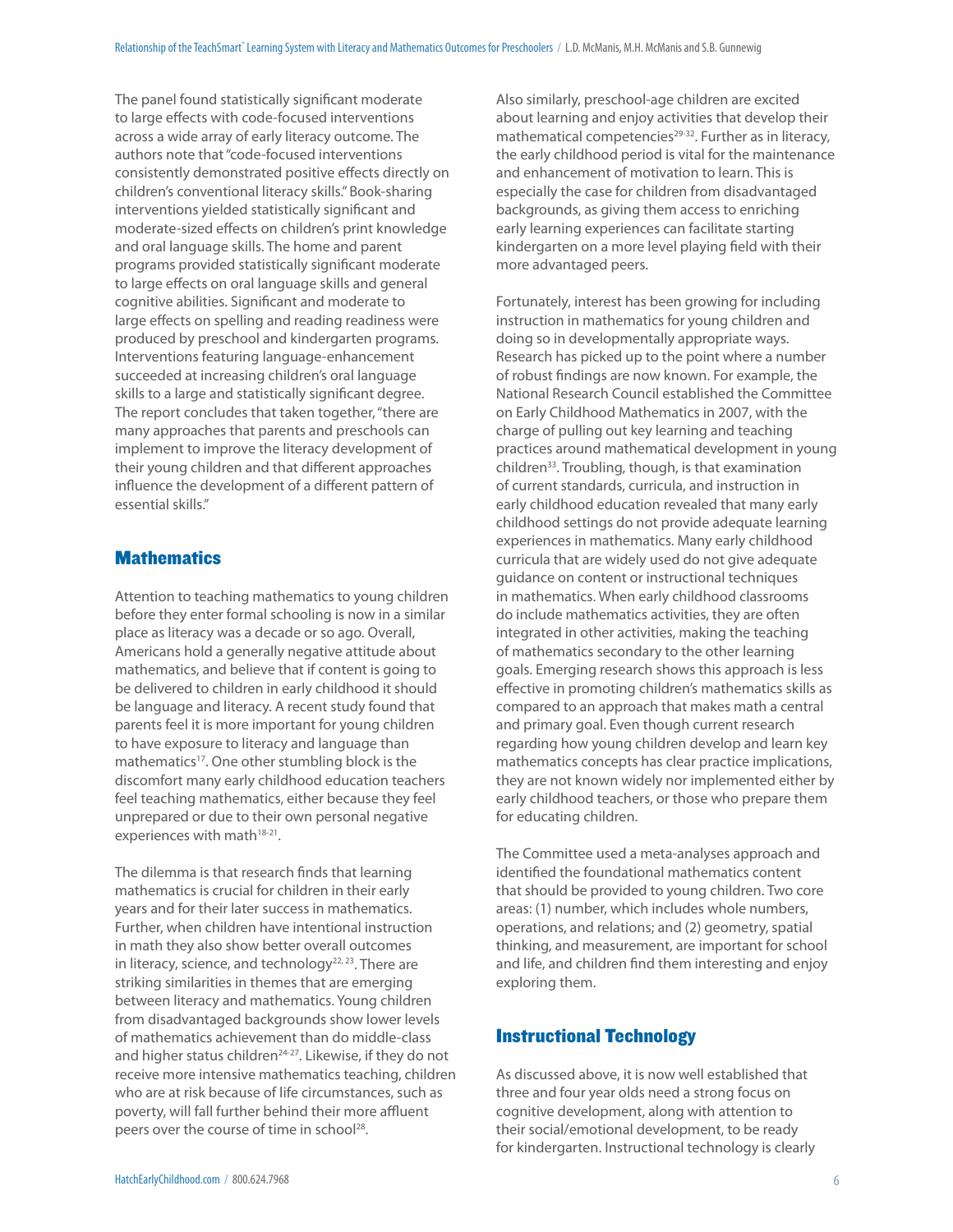The panel found statistically significant moderate to large effects with code-focused interventions across a wide array of early literacy outcome. The authors note that "code-focused interventions consistently demonstrated positive effects directly on children's conventional literacy skills." Book-sharing interventions yielded statistically significant and moderate-sized effects on children's print knowledge and oral language skills. The home and parent programs provided statistically significant moderate to large effects on oral language skills and general cognitive abilities. Significant and moderate to large effects on spelling and reading readiness were produced by preschool and kindergarten programs. Interventions featuring language-enhancement succeeded at increasing children's oral language skills to a large and statistically significant degree. The report concludes that taken together, "there are many approaches that parents and preschools can implement to improve the literacy development of their young children and that different approaches influence the development of a different pattern of essential skills."

# **Mathematics**

Attention to teaching mathematics to young children before they enter formal schooling is now in a similar place as literacy was a decade or so ago. Overall, Americans hold a generally negative attitude about mathematics, and believe that if content is going to be delivered to children in early childhood it should be language and literacy. A recent study found that parents feel it is more important for young children to have exposure to literacy and language than mathematics<sup>17</sup>. One other stumbling block is the discomfort many early childhood education teachers feel teaching mathematics, either because they feel unprepared or due to their own personal negative experiences with math<sup>18-21</sup>.

The dilemma is that research finds that learning mathematics is crucial for children in their early years and for their later success in mathematics. Further, when children have intentional instruction in math they also show better overall outcomes in literacy, science, and technology $22, 23$ . There are striking similarities in themes that are emerging between literacy and mathematics. Young children from disadvantaged backgrounds show lower levels of mathematics achievement than do middle-class and higher status children<sup>24-27</sup>. Likewise, if they do not receive more intensive mathematics teaching, children who are at risk because of life circumstances, such as poverty, will fall further behind their more affluent peers over the course of time in school<sup>28</sup>.

Also similarly, preschool-age children are excited about learning and enjoy activities that develop their mathematical competencies<sup>29-32</sup>. Further as in literacy, the early childhood period is vital for the maintenance and enhancement of motivation to learn. This is especially the case for children from disadvantaged backgrounds, as giving them access to enriching early learning experiences can facilitate starting kindergarten on a more level playing field with their more advantaged peers.

Fortunately, interest has been growing for including instruction in mathematics for young children and doing so in developmentally appropriate ways. Research has picked up to the point where a number of robust findings are now known. For example, the National Research Council established the Committee on Early Childhood Mathematics in 2007, with the charge of pulling out key learning and teaching practices around mathematical development in young children33. Troubling, though, is that examination of current standards, curricula, and instruction in early childhood education revealed that many early childhood settings do not provide adequate learning experiences in mathematics. Many early childhood curricula that are widely used do not give adequate guidance on content or instructional techniques in mathematics. When early childhood classrooms do include mathematics activities, they are often integrated in other activities, making the teaching of mathematics secondary to the other learning goals. Emerging research shows this approach is less effective in promoting children's mathematics skills as compared to an approach that makes math a central and primary goal. Even though current research regarding how young children develop and learn key mathematics concepts has clear practice implications, they are not known widely nor implemented either by early childhood teachers, or those who prepare them for educating children.

The Committee used a meta-analyses approach and identified the foundational mathematics content that should be provided to young children. Two core areas: (1) number, which includes whole numbers, operations, and relations; and (2) geometry, spatial thinking, and measurement, are important for school and life, and children find them interesting and enjoy exploring them.

#### Instructional Technology

As discussed above, it is now well established that three and four year olds need a strong focus on cognitive development, along with attention to their social/emotional development, to be ready for kindergarten. Instructional technology is clearly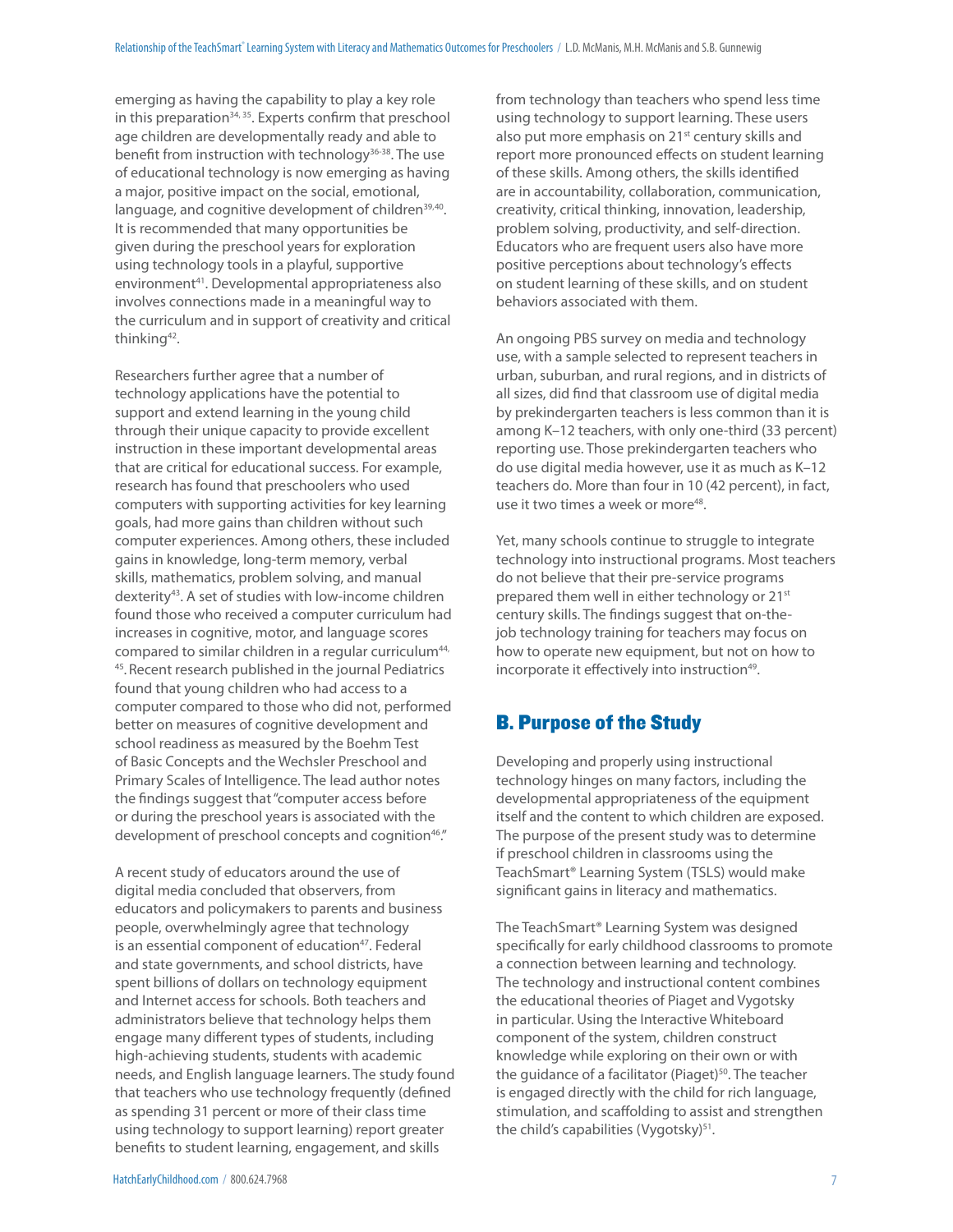emerging as having the capability to play a key role in this preparation $34, 35$ . Experts confirm that preschool age children are developmentally ready and able to benefit from instruction with technology<sup>36-38</sup>. The use of educational technology is now emerging as having a major, positive impact on the social, emotional, language, and cognitive development of children<sup>39,40</sup>. It is recommended that many opportunities be given during the preschool years for exploration using technology tools in a playful, supportive environment<sup>41</sup>. Developmental appropriateness also involves connections made in a meaningful way to the curriculum and in support of creativity and critical thinking<sup>42</sup>.

Researchers further agree that a number of technology applications have the potential to support and extend learning in the young child through their unique capacity to provide excellent instruction in these important developmental areas that are critical for educational success. For example, research has found that preschoolers who used computers with supporting activities for key learning goals, had more gains than children without such computer experiences. Among others, these included gains in knowledge, long-term memory, verbal skills, mathematics, problem solving, and manual dexterity43. A set of studies with low-income children found those who received a computer curriculum had increases in cognitive, motor, and language scores compared to similar children in a regular curriculum<sup>44,</sup> 45.Recent research published in the journal Pediatrics found that young children who had access to a computer compared to those who did not, performed better on measures of cognitive development and school readiness as measured by the Boehm Test of Basic Concepts and the Wechsler Preschool and Primary Scales of Intelligence. The lead author notes the findings suggest that "computer access before or during the preschool years is associated with the development of preschool concepts and cognition<sup>46</sup>."

A recent study of educators around the use of digital media concluded that observers, from educators and policymakers to parents and business people, overwhelmingly agree that technology is an essential component of education<sup>47</sup>. Federal and state governments, and school districts, have spent billions of dollars on technology equipment and Internet access for schools. Both teachers and administrators believe that technology helps them engage many different types of students, including high-achieving students, students with academic needs, and English language learners. The study found that teachers who use technology frequently (defined as spending 31 percent or more of their class time using technology to support learning) report greater benefits to student learning, engagement, and skills

from technology than teachers who spend less time using technology to support learning. These users also put more emphasis on 21<sup>st</sup> century skills and report more pronounced effects on student learning of these skills. Among others, the skills identified are in accountability, collaboration, communication, creativity, critical thinking, innovation, leadership, problem solving, productivity, and self-direction. Educators who are frequent users also have more positive perceptions about technology's effects on student learning of these skills, and on student behaviors associated with them.

An ongoing PBS survey on media and technology use, with a sample selected to represent teachers in urban, suburban, and rural regions, and in districts of all sizes, did find that classroom use of digital media by prekindergarten teachers is less common than it is among K–12 teachers, with only one-third (33 percent) reporting use. Those prekindergarten teachers who do use digital media however, use it as much as K–12 teachers do. More than four in 10 (42 percent), in fact, use it two times a week or more<sup>48</sup>.

Yet, many schools continue to struggle to integrate technology into instructional programs. Most teachers do not believe that their pre-service programs prepared them well in either technology or 21<sup>st</sup> century skills. The findings suggest that on-thejob technology training for teachers may focus on how to operate new equipment, but not on how to incorporate it effectively into instruction<sup>49</sup>.

# B. Purpose of the Study

Developing and properly using instructional technology hinges on many factors, including the developmental appropriateness of the equipment itself and the content to which children are exposed. The purpose of the present study was to determine if preschool children in classrooms using the TeachSmart® Learning System (TSLS) would make significant gains in literacy and mathematics.

The TeachSmart® Learning System was designed specifically for early childhood classrooms to promote a connection between learning and technology. The technology and instructional content combines the educational theories of Piaget and Vygotsky in particular. Using the Interactive Whiteboard component of the system, children construct knowledge while exploring on their own or with the guidance of a facilitator (Piaget)<sup>50</sup>. The teacher is engaged directly with the child for rich language, stimulation, and scaffolding to assist and strengthen the child's capabilities (Vygotsky)<sup>51</sup>.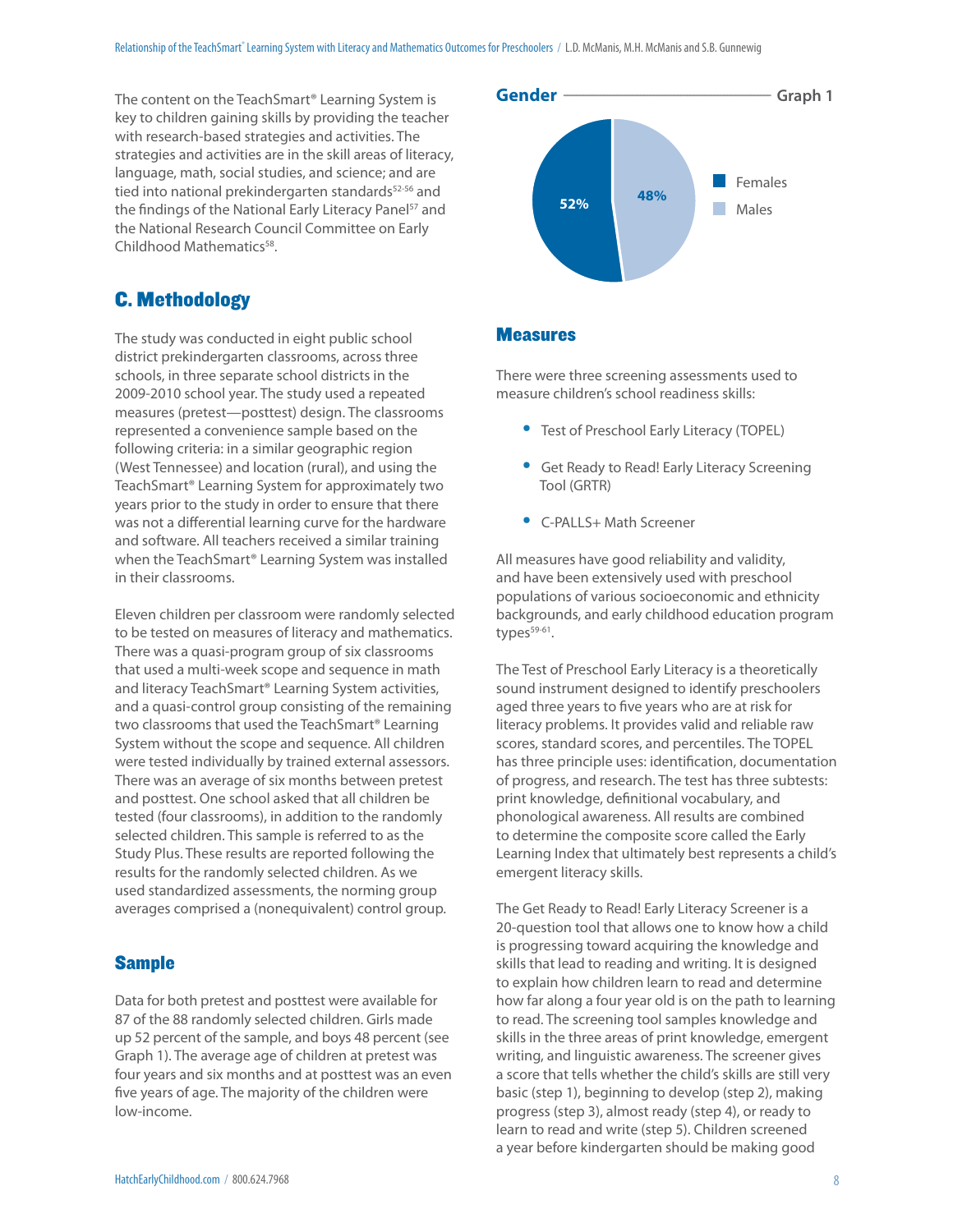The content on the TeachSmart® Learning System is key to children gaining skills by providing the teacher with research-based strategies and activities. The strategies and activities are in the skill areas of literacy, language, math, social studies, and science; and are tied into national prekindergarten standards<sup>52-56</sup> and the findings of the National Early Literacy Panel<sup>57</sup> and the National Research Council Committee on Early Childhood Mathematics<sup>58</sup>.



# C. Methodology

The study was conducted in eight public school district prekindergarten classrooms, across three schools, in three separate school districts in the 2009-2010 school year. The study used a repeated measures (pretest—posttest) design. The classrooms represented a convenience sample based on the following criteria: in a similar geographic region (West Tennessee) and location (rural), and using the TeachSmart® Learning System for approximately two years prior to the study in order to ensure that there was not a differential learning curve for the hardware and software. All teachers received a similar training when the TeachSmart® Learning System was installed in their classrooms.

Eleven children per classroom were randomly selected to be tested on measures of literacy and mathematics. There was a quasi-program group of six classrooms that used a multi-week scope and sequence in math and literacy TeachSmart® Learning System activities, and a quasi-control group consisting of the remaining two classrooms that used the TeachSmart® Learning System without the scope and sequence. All children were tested individually by trained external assessors. There was an average of six months between pretest and posttest. One school asked that all children be tested (four classrooms), in addition to the randomly selected children. This sample is referred to as the Study Plus. These results are reported following the results for the randomly selected children. As we used standardized assessments, the norming group averages comprised a (nonequivalent) control group.

## **Sample**

Data for both pretest and posttest were available for 87 of the 88 randomly selected children. Girls made up 52 percent of the sample, and boys 48 percent (see Graph 1). The average age of children at pretest was four years and six months and at posttest was an even five years of age. The majority of the children were low-income.

#### Measures

There were three screening assessments used to measure children's school readiness skills:

- Test of Preschool Early Literacy (TOPEL)
- Get Ready to Read! Early Literacy Screening Tool (GRTR)
- C-PALLS+ Math Screener

All measures have good reliability and validity, and have been extensively used with preschool populations of various socioeconomic and ethnicity backgrounds, and early childhood education program types $59-61$ .

The Test of Preschool Early Literacy is a theoretically sound instrument designed to identify preschoolers aged three years to five years who are at risk for literacy problems. It provides valid and reliable raw scores, standard scores, and percentiles. The TOPEL has three principle uses: identification, documentation of progress, and research. The test has three subtests: print knowledge, definitional vocabulary, and phonological awareness. All results are combined to determine the composite score called the Early Learning Index that ultimately best represents a child's emergent literacy skills.

The Get Ready to Read! Early Literacy Screener is a 20-question tool that allows one to know how a child is progressing toward acquiring the knowledge and skills that lead to reading and writing. It is designed to explain how children learn to read and determine how far along a four year old is on the path to learning to read. The screening tool samples knowledge and skills in the three areas of print knowledge, emergent writing, and linguistic awareness. The screener gives a score that tells whether the child's skills are still very basic (step 1), beginning to develop (step 2), making progress (step 3), almost ready (step 4), or ready to learn to read and write (step 5). Children screened a year before kindergarten should be making good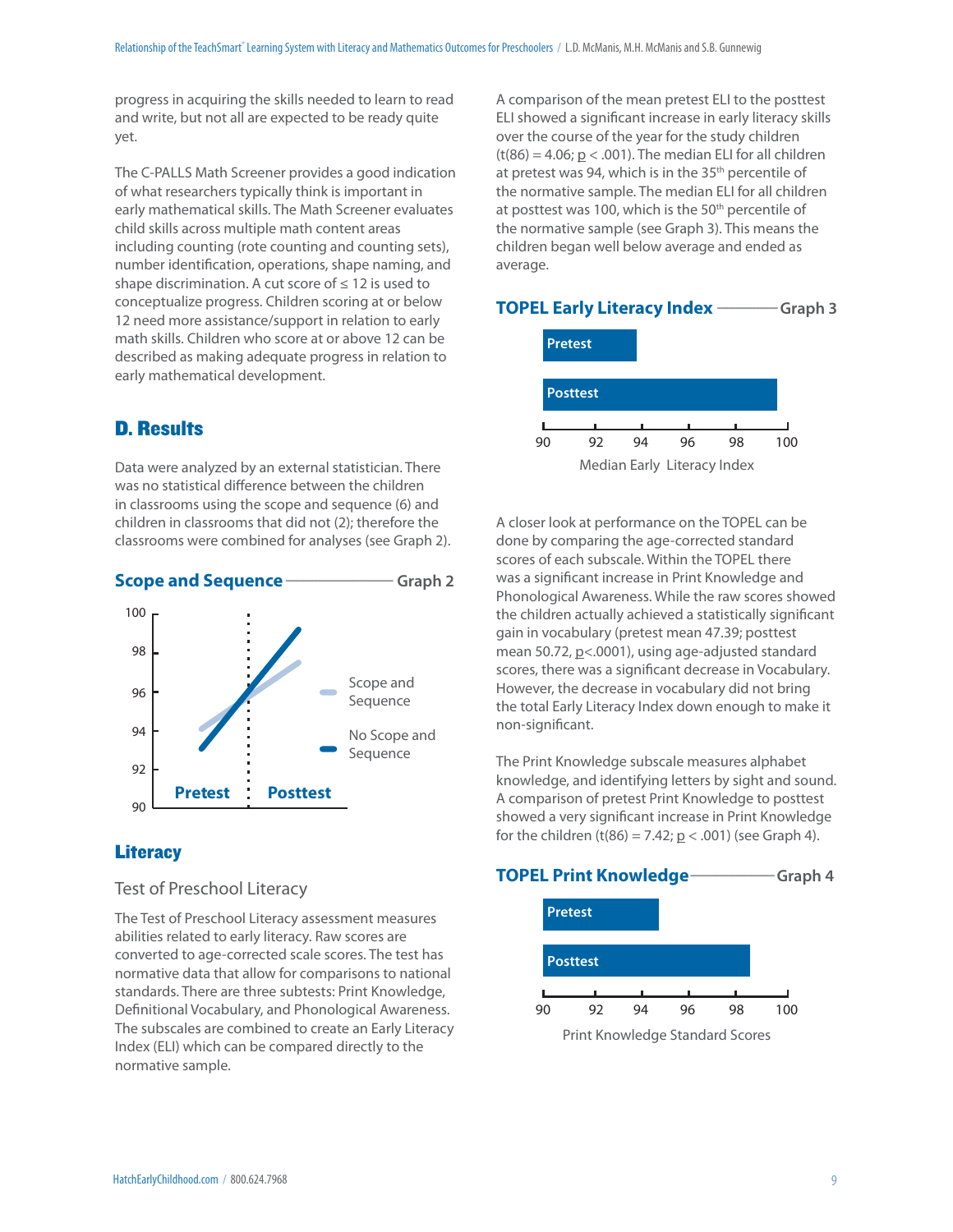progress in acquiring the skills needed to learn to read and write, but not all are expected to be ready quite yet.

The C-PALLS Math Screener provides a good indication of what researchers typically think is important in early mathematical skills. The Math Screener evaluates child skills across multiple math content areas including counting (rote counting and counting sets), number identification, operations, shape naming, and shape discrimination. A cut score of  $\leq 12$  is used to conceptualize progress. Children scoring at or below 12 need more assistance/support in relation to early math skills. Children who score at or above 12 can be described as making adequate progress in relation to early mathematical development.

# D. Results

Data were analyzed by an external statistician. There was no statistical difference between the children in classrooms using the scope and sequence (6) and children in classrooms that did not (2); therefore the classrooms were combined for analyses (see Graph 2).



# **Literacy**

## Test of Preschool Literacy

The Test of Preschool Literacy assessment measures abilities related to early literacy. Raw scores are converted to age-corrected scale scores. The test has normative data that allow for comparisons to national standards. There are three subtests: Print Knowledge, Definitional Vocabulary, and Phonological Awareness. The subscales are combined to create an Early Literacy Index (ELI) which can be compared directly to the normative sample.

A comparison of the mean pretest ELI to the posttest ELI showed a significant increase in early literacy skills over the course of the year for the study children  $(t(86) = 4.06; p < .001)$ . The median ELI for all children at pretest was 94, which is in the 35<sup>th</sup> percentile of the normative sample. The median ELI for all children at posttest was 100, which is the  $50<sup>th</sup>$  percentile of the normative sample (see Graph 3). This means the children began well below average and ended as average.



Median Early Literacy Index

A closer look at performance on the TOPEL can be done by comparing the age-corrected standard scores of each subscale. Within the TOPEL there was a significant increase in Print Knowledge and Phonological Awareness. While the raw scores showed the children actually achieved a statistically significant gain in vocabulary (pretest mean 47.39; posttest mean 50.72, p<.0001), using age-adjusted standard scores, there was a significant decrease in Vocabulary. However, the decrease in vocabulary did not bring the total Early Literacy Index down enough to make it non-significant.

The Print Knowledge subscale measures alphabet knowledge, and identifying letters by sight and sound. A comparison of pretest Print Knowledge to posttest showed a very significant increase in Print Knowledge for the children  $(t(86) = 7.42; p < .001)$  (see Graph 4).

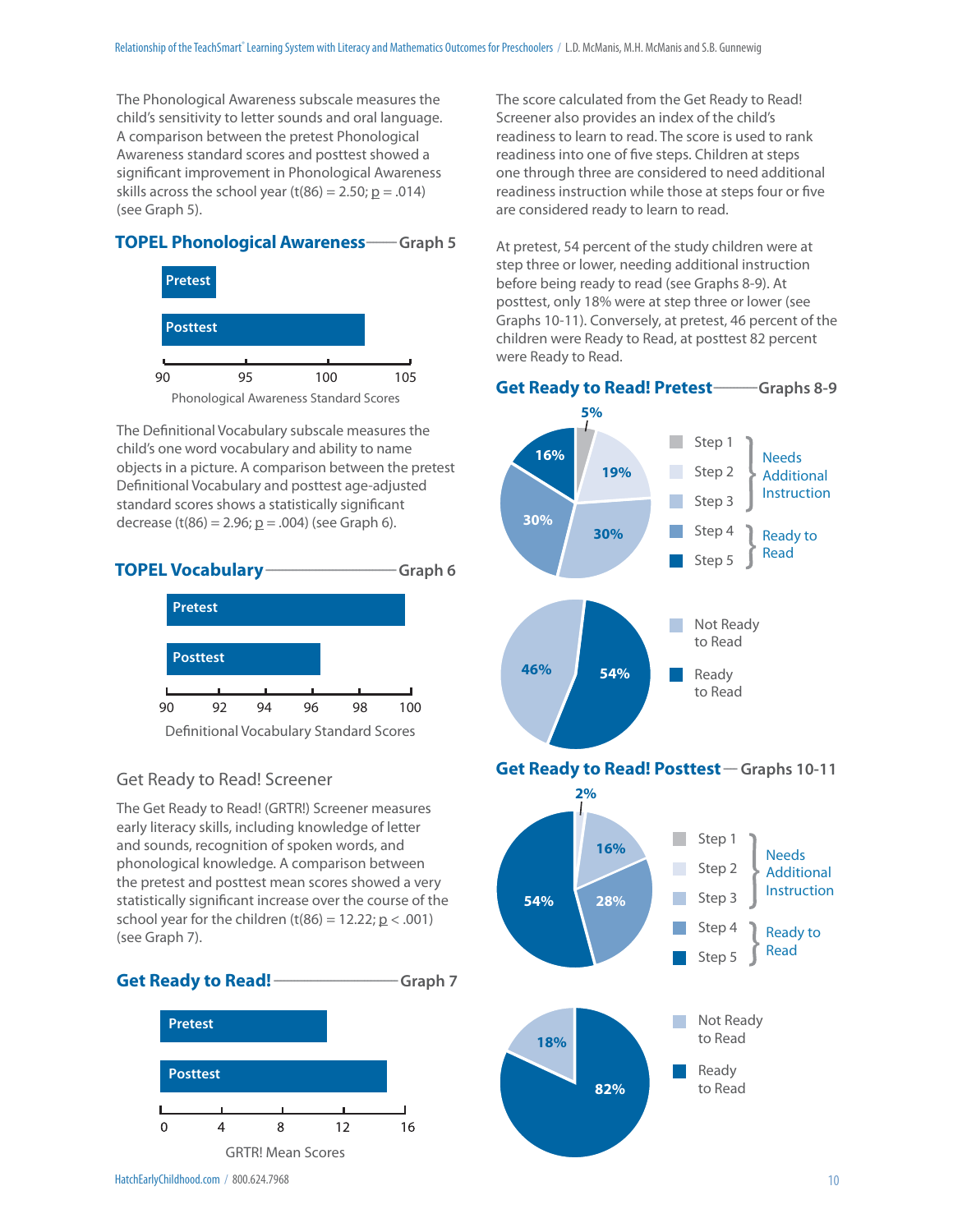The Phonological Awareness subscale measures the child's sensitivity to letter sounds and oral language. A comparison between the pretest Phonological Awareness standard scores and posttest showed a significant improvement in Phonological Awareness skills across the school year (t(86) = 2.50;  $p = .014$ ) (see Graph 5).

#### **TOPEL Phonological Awareness** ---- Graph 5



The Definitional Vocabulary subscale measures the child's one word vocabulary and ability to name objects in a picture. A comparison between the pretest Definitional Vocabulary and posttest age-adjusted standard scores shows a statistically significant decrease (t(86) = 2.96;  $p = .004$ ) (see Graph 6).



#### Get Ready to Read! Screener

The Get Ready to Read! (GRTR!) Screener measures early literacy skills, including knowledge of letter and sounds, recognition of spoken words, and phonological knowledge. A comparison between the pretest and posttest mean scores showed a very statistically significant increase over the course of the school year for the children  $(t(86) = 12.22; p < .001)$ (see Graph 7).





The score calculated from the Get Ready to Read! Screener also provides an index of the child's readiness to learn to read. The score is used to rank readiness into one of five steps. Children at steps one through three are considered to need additional readiness instruction while those at steps four or five are considered ready to learn to read.

At pretest, 54 percent of the study children were at step three or lower, needing additional instruction before being ready to read (see Graphs 8-9). At posttest, only 18% were at step three or lower (see Graphs 10-11). Conversely, at pretest, 46 percent of the children were Ready to Read, at posttest 82 percent were Ready to Read.

#### **Get Ready to Read! Pretest ------------- Graphs 8-9**



**Get Ready to Read! Posttest** - Graphs 10-11

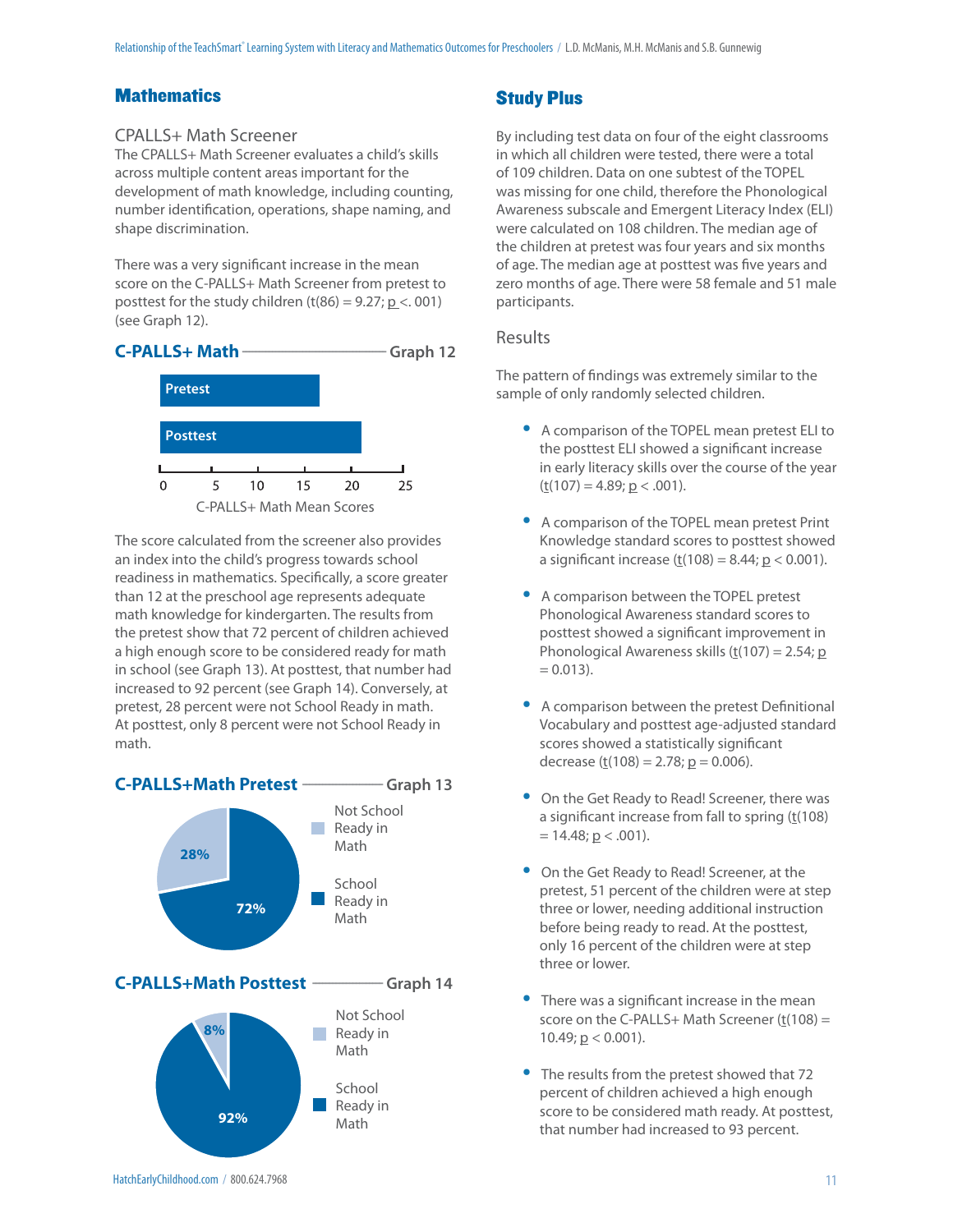# **Mathematics**

## CPALLS+ Math Screener

The CPALLS+ Math Screener evaluates a child's skills across multiple content areas important for the development of math knowledge, including counting, number identification, operations, shape naming, and shape discrimination.

There was a very significant increase in the mean score on the C-PALLS+ Math Screener from pretest to posttest for the study children  $(t(86) = 9.27; p < .001)$ (see Graph 12).



The score calculated from the screener also provides an index into the child's progress towards school readiness in mathematics. Specifically, a score greater than 12 at the preschool age represents adequate math knowledge for kindergarten. The results from the pretest show that 72 percent of children achieved a high enough score to be considered ready for math in school (see Graph 13). At posttest, that number had increased to 92 percent (see Graph 14). Conversely, at pretest, 28 percent were not School Ready in math. At posttest, only 8 percent were not School Ready in math.



# Study Plus

By including test data on four of the eight classrooms in which all children were tested, there were a total of 109 children. Data on one subtest of the TOPEL was missing for one child, therefore the Phonological Awareness subscale and Emergent Literacy Index (ELI) were calculated on 108 children. The median age of the children at pretest was four years and six months of age. The median age at posttest was five years and zero months of age. There were 58 female and 51 male participants.

## Results

The pattern of findings was extremely similar to the sample of only randomly selected children.

- A comparison of the TOPEL mean pretest ELI to the posttest ELI showed a significant increase in early literacy skills over the course of the year  $(\underline{t}(107) = 4.89; \underline{p} < .001).$
- A comparison of the TOPEL mean pretest Print Knowledge standard scores to posttest showed a significant increase  $(t(108) = 8.44; p < 0.001)$ .
- A comparison between the TOPEL pretest Phonological Awareness standard scores to posttest showed a significant improvement in Phonological Awareness skills ( $t(107) = 2.54$ ; p  $= 0.013$ ).
- A comparison between the pretest Definitional Vocabulary and posttest age-adjusted standard scores showed a statistically significant decrease  $(\underline{t}(108) = 2.78; \underline{p} = 0.006)$ .
- On the Get Ready to Read! Screener, there was a significant increase from fall to spring  $(t(108))$  $= 14.48; p < .001$ ).
- On the Get Ready to Read! Screener, at the pretest, 51 percent of the children were at step three or lower, needing additional instruction before being ready to read. At the posttest, only 16 percent of the children were at step three or lower.
- $\bullet$  There was a significant increase in the mean score on the C-PALLS+ Math Screener  $(t(108) =$ 10.49;  $p < 0.001$ ).
- The results from the pretest showed that 72 percent of children achieved a high enough score to be considered math ready. At posttest, that number had increased to 93 percent.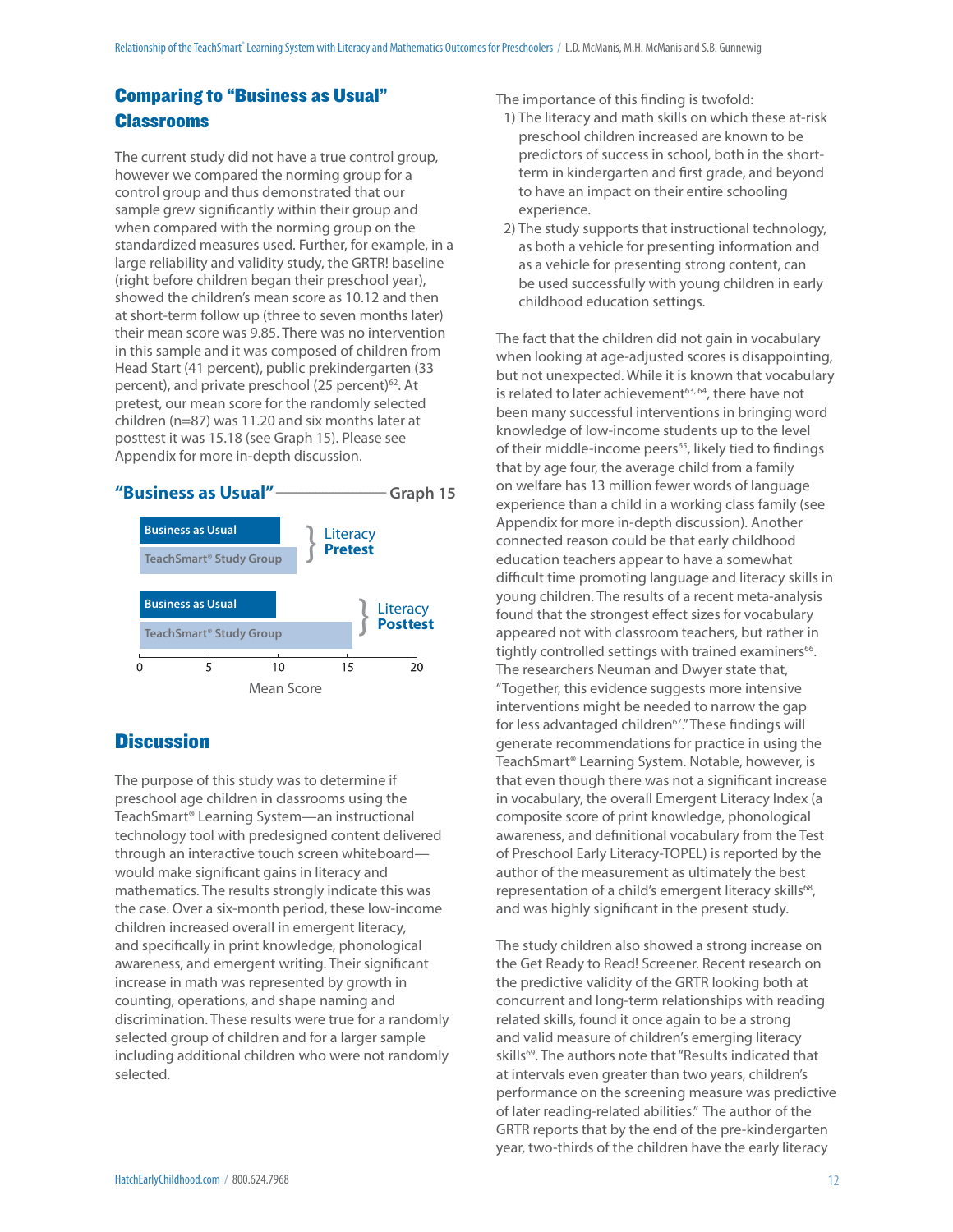# Comparing to "Business as Usual" Classrooms

The current study did not have a true control group, however we compared the norming group for a control group and thus demonstrated that our sample grew significantly within their group and when compared with the norming group on the standardized measures used. Further, for example, in a large reliability and validity study, the GRTR! baseline (right before children began their preschool year), showed the children's mean score as 10.12 and then at short-term follow up (three to seven months later) their mean score was 9.85. There was no intervention in this sample and it was composed of children from Head Start (41 percent), public prekindergarten (33 percent), and private preschool (25 percent)<sup>62</sup>. At pretest, our mean score for the randomly selected children (n=87) was 11.20 and six months later at posttest it was 15.18 (see Graph 15). Please see Appendix for more in-depth discussion.



# **Discussion**

The purpose of this study was to determine if preschool age children in classrooms using the TeachSmart® Learning System—an instructional technology tool with predesigned content delivered through an interactive touch screen whiteboard would make significant gains in literacy and mathematics. The results strongly indicate this was the case. Over a six-month period, these low-income children increased overall in emergent literacy, and specifically in print knowledge, phonological awareness, and emergent writing. Their significant increase in math was represented by growth in counting, operations, and shape naming and discrimination. These results were true for a randomly selected group of children and for a larger sample including additional children who were not randomly selected.

The importance of this finding is twofold:

- 1) The literacy and math skills on which these at-risk preschool children increased are known to be predictors of success in school, both in the shortterm in kindergarten and first grade, and beyond to have an impact on their entire schooling experience.
- 2) The study supports that instructional technology, as both a vehicle for presenting information and as a vehicle for presenting strong content, can be used successfully with young children in early childhood education settings.

The fact that the children did not gain in vocabulary when looking at age-adjusted scores is disappointing, but not unexpected. While it is known that vocabulary is related to later achievement<sup>63, 64</sup>, there have not been many successful interventions in bringing word knowledge of low-income students up to the level of their middle-income peers<sup>65</sup>, likely tied to findings that by age four, the average child from a family on welfare has 13 million fewer words of language experience than a child in a working class family (see Appendix for more in-depth discussion). Another connected reason could be that early childhood education teachers appear to have a somewhat difficult time promoting language and literacy skills in young children. The results of a recent meta-analysis found that the strongest effect sizes for vocabulary appeared not with classroom teachers, but rather in tightly controlled settings with trained examiners<sup>66</sup>. The researchers Neuman and Dwyer state that, "Together, this evidence suggests more intensive interventions might be needed to narrow the gap for less advantaged children<sup>67</sup>." These findings will generate recommendations for practice in using the TeachSmart® Learning System. Notable, however, is that even though there was not a significant increase in vocabulary, the overall Emergent Literacy Index (a composite score of print knowledge, phonological awareness, and definitional vocabulary from the Test of Preschool Early Literacy-TOPEL) is reported by the author of the measurement as ultimately the best representation of a child's emergent literacy skills<sup>68</sup>, and was highly significant in the present study.

The study children also showed a strong increase on the Get Ready to Read! Screener. Recent research on the predictive validity of the GRTR looking both at concurrent and long-term relationships with reading related skills, found it once again to be a strong and valid measure of children's emerging literacy skills<sup>69</sup>. The authors note that "Results indicated that at intervals even greater than two years, children's performance on the screening measure was predictive of later reading-related abilities." The author of the GRTR reports that by the end of the pre-kindergarten year, two-thirds of the children have the early literacy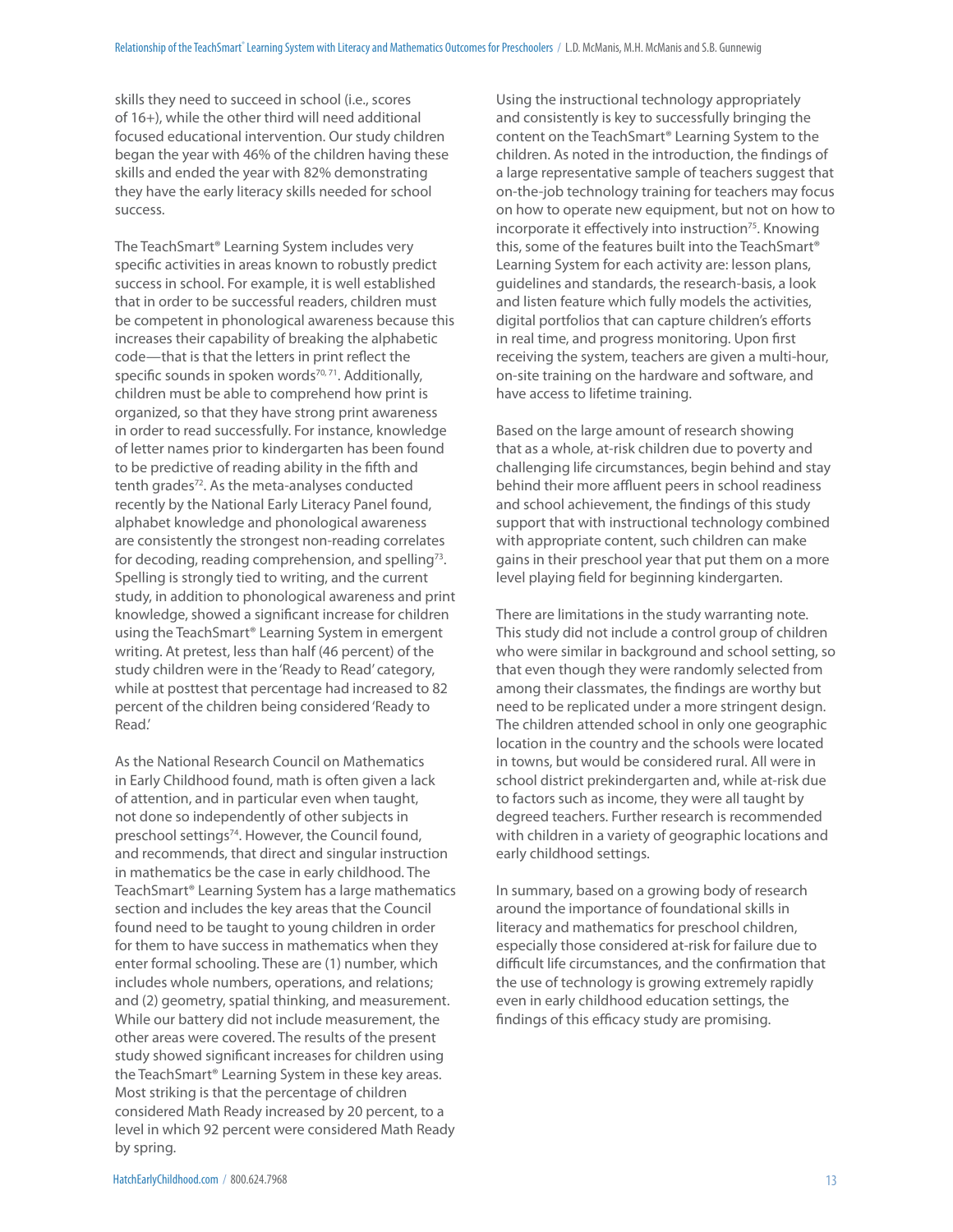skills they need to succeed in school (i.e., scores of 16+), while the other third will need additional focused educational intervention. Our study children began the year with 46% of the children having these skills and ended the year with 82% demonstrating they have the early literacy skills needed for school success.

The TeachSmart® Learning System includes very specific activities in areas known to robustly predict success in school. For example, it is well established that in order to be successful readers, children must be competent in phonological awareness because this increases their capability of breaking the alphabetic code—that is that the letters in print reflect the specific sounds in spoken words<sup>70, 71</sup>. Additionally, children must be able to comprehend how print is organized, so that they have strong print awareness in order to read successfully. For instance, knowledge of letter names prior to kindergarten has been found to be predictive of reading ability in the fifth and tenth grades<sup>72</sup>. As the meta-analyses conducted recently by the National Early Literacy Panel found, alphabet knowledge and phonological awareness are consistently the strongest non-reading correlates for decoding, reading comprehension, and spelling<sup>73</sup>. Spelling is strongly tied to writing, and the current study, in addition to phonological awareness and print knowledge, showed a significant increase for children using the TeachSmart® Learning System in emergent writing. At pretest, less than half (46 percent) of the study children were in the 'Ready to Read' category, while at posttest that percentage had increased to 82 percent of the children being considered 'Ready to Read.'

As the National Research Council on Mathematics in Early Childhood found, math is often given a lack of attention, and in particular even when taught, not done so independently of other subjects in preschool settings<sup>74</sup>. However, the Council found, and recommends, that direct and singular instruction in mathematics be the case in early childhood. The TeachSmart® Learning System has a large mathematics section and includes the key areas that the Council found need to be taught to young children in order for them to have success in mathematics when they enter formal schooling. These are (1) number, which includes whole numbers, operations, and relations; and (2) geometry, spatial thinking, and measurement. While our battery did not include measurement, the other areas were covered. The results of the present study showed significant increases for children using the TeachSmart® Learning System in these key areas. Most striking is that the percentage of children considered Math Ready increased by 20 percent, to a level in which 92 percent were considered Math Ready by spring.

Using the instructional technology appropriately and consistently is key to successfully bringing the content on the TeachSmart® Learning System to the children. As noted in the introduction, the findings of a large representative sample of teachers suggest that on-the-job technology training for teachers may focus on how to operate new equipment, but not on how to incorporate it effectively into instruction<sup>75</sup>. Knowing this, some of the features built into the TeachSmart® Learning System for each activity are: lesson plans, guidelines and standards, the research-basis, a look and listen feature which fully models the activities, digital portfolios that can capture children's efforts in real time, and progress monitoring. Upon first receiving the system, teachers are given a multi-hour, on-site training on the hardware and software, and have access to lifetime training.

Based on the large amount of research showing that as a whole, at-risk children due to poverty and challenging life circumstances, begin behind and stay behind their more affluent peers in school readiness and school achievement, the findings of this study support that with instructional technology combined with appropriate content, such children can make gains in their preschool year that put them on a more level playing field for beginning kindergarten.

There are limitations in the study warranting note. This study did not include a control group of children who were similar in background and school setting, so that even though they were randomly selected from among their classmates, the findings are worthy but need to be replicated under a more stringent design. The children attended school in only one geographic location in the country and the schools were located in towns, but would be considered rural. All were in school district prekindergarten and, while at-risk due to factors such as income, they were all taught by degreed teachers. Further research is recommended with children in a variety of geographic locations and early childhood settings.

In summary, based on a growing body of research around the importance of foundational skills in literacy and mathematics for preschool children, especially those considered at-risk for failure due to difficult life circumstances, and the confirmation that the use of technology is growing extremely rapidly even in early childhood education settings, the findings of this efficacy study are promising.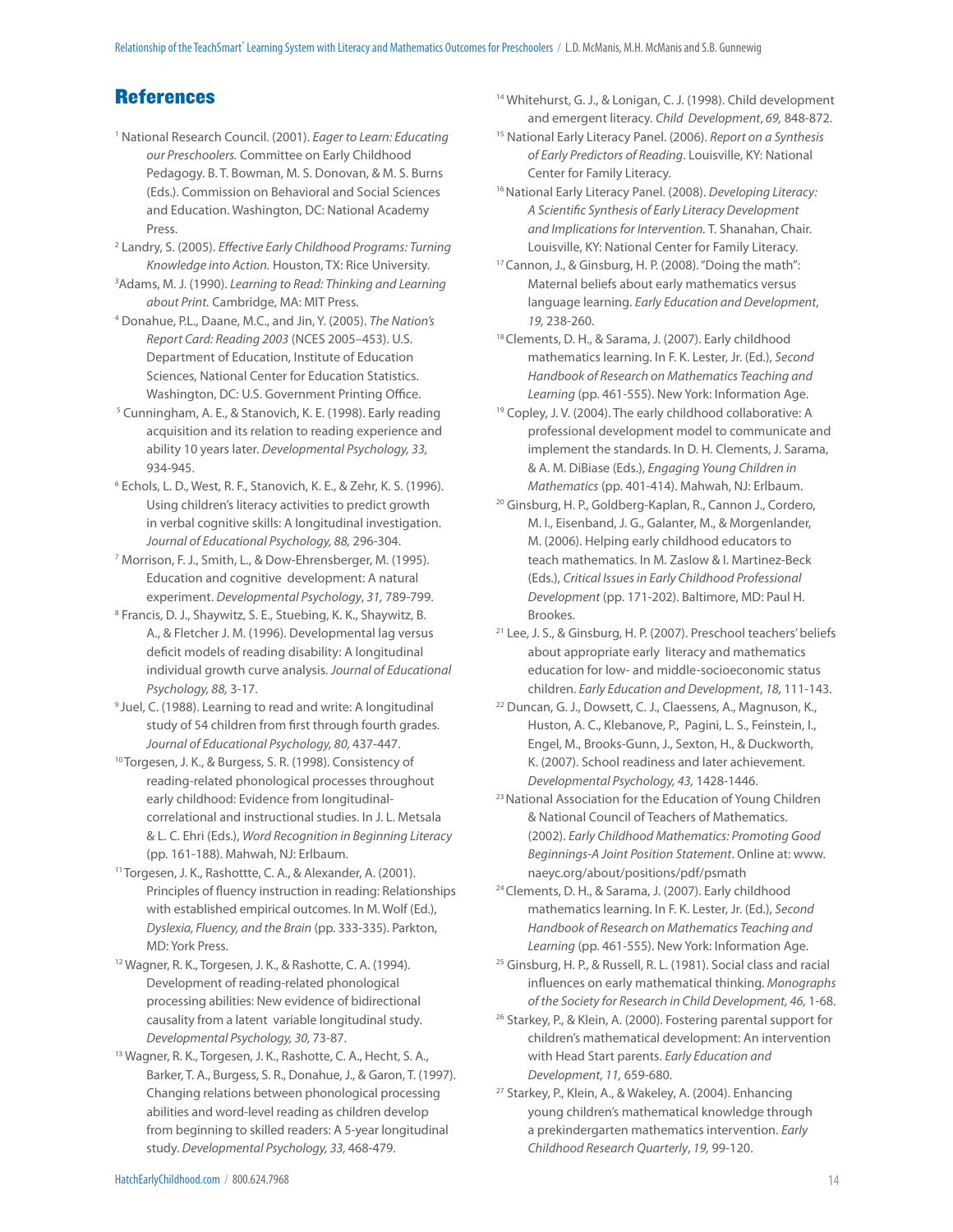# **References**

- <sup>1</sup> National Research Council. (2001). Eager to Learn: Educating our Preschoolers. Committee on Early Childhood Pedagogy. B. T. Bowman, M. S. Donovan, & M. S. Burns (Eds.). Commission on Behavioral and Social Sciences and Education. Washington, DC: National Academy Press.
- <sup>2</sup> Landry, S. (2005). Effective Early Childhood Programs: Turning Knowledge into Action. Houston, TX: Rice University.
- <sup>3</sup> Adams, M. J. (1990). Learning to Read: Thinking and Learning about Print. Cambridge, MA: MIT Press.
- 4 Donahue, P.L., Daane, M.C., and Jin, Y. (2005). The Nation's Report Card: Reading 2003 (NCES 2005–453). U.S. Department of Education, Institute of Education Sciences, National Center for Education Statistics. Washington, DC: U.S. Government Printing Office.
- <sup>5</sup> Cunningham, A. E., & Stanovich, K. E. (1998). Early reading acquisition and its relation to reading experience and ability 10 years later. Developmental Psychology, 33, 934-945.
- 6 Echols, L. D., West, R. F., Stanovich, K. E., & Zehr, K. S. (1996). Using children's literacy activities to predict growth in verbal cognitive skills: A longitudinal investigation. Journal of Educational Psychology, 88, 296-304.
- 7 Morrison, F. J., Smith, L., & Dow-Ehrensberger, M. (1995). Education and cognitive development: A natural experiment. Developmental Psychology, 31, 789-799.
- 8 Francis, D. J., Shaywitz, S. E., Stuebing, K. K., Shaywitz, B. A., & Fletcher J. M. (1996). Developmental lag versus deficit models of reading disability: A longitudinal individual growth curve analysis. Journal of Educational Psychology, 88, 3-17.
- <sup>9</sup> Juel, C. (1988). Learning to read and write: A longitudinal study of 54 children from first through fourth grades. Journal of Educational Psychology, 80, 437-447.
- <sup>10</sup> Torgesen, J. K., & Burgess, S. R. (1998). Consistency of reading-related phonological processes throughout early childhood: Evidence from longitudinalcorrelational and instructional studies. In J. L. Metsala & L. C. Ehri (Eds.), Word Recognition in Beginning Literacy (pp. 161-188). Mahwah, NJ: Erlbaum.
- 11 Torgesen, J. K., Rashottte, C. A., & Alexander, A. (2001). Principles of fluency instruction in reading: Relationships with established empirical outcomes. In M. Wolf (Ed.), Dyslexia, Fluency, and the Brain (pp. 333-335). Parkton, MD: York Press.
- 12 Wagner, R. K., Torgesen, J. K., & Rashotte, C. A. (1994). Development of reading-related phonological processing abilities: New evidence of bidirectional causality from a latent variable longitudinal study. Developmental Psychology, 30, 73-87.
- <sup>13</sup> Wagner, R. K., Torgesen, J. K., Rashotte, C. A., Hecht, S. A., Barker, T. A., Burgess, S. R., Donahue, J., & Garon, T. (1997). Changing relations between phonological processing abilities and word-level reading as children develop from beginning to skilled readers: A 5-year longitudinal study. Developmental Psychology, 33, 468-479.
- 14 Whitehurst, G. J., & Lonigan, C. J. (1998). Child development and emergent literacy. Child Development, 69, 848-872.
- <sup>15</sup> National Early Literacy Panel. (2006). Report on a Synthesis of Early Predictors of Reading. Louisville, KY: National Center for Family Literacy.
- <sup>16</sup> National Early Literacy Panel. (2008). Developing Literacy: A Scientific Synthesis of Early Literacy Development and Implications for Intervention. T. Shanahan, Chair. Louisville, KY: National Center for Family Literacy.
- 17 Cannon, J., & Ginsburg, H. P. (2008). "Doing the math": Maternal beliefs about early mathematics versus language learning. Early Education and Development, 19, 238-260.
- 18 Clements, D. H., & Sarama, J. (2007). Early childhood mathematics learning. In F. K. Lester, Jr. (Ed.), Second Handbook of Research on Mathematics Teaching and Learning (pp. 461-555). New York: Information Age.
- <sup>19</sup> Copley, J. V. (2004). The early childhood collaborative: A professional development model to communicate and implement the standards. In D. H. Clements, J. Sarama, & A. M. DiBiase (Eds.), Engaging Young Children in Mathematics (pp. 401-414). Mahwah, NJ: Erlbaum.
- 20 Ginsburg, H. P., Goldberg-Kaplan, R., Cannon J., Cordero, M. I., Eisenband, J. G., Galanter, M., & Morgenlander, M. (2006). Helping early childhood educators to teach mathematics. In M. Zaslow & I. Martinez-Beck (Eds.), Critical Issues in Early Childhood Professional Development (pp. 171-202). Baltimore, MD: Paul H. Brookes.
- 21 Lee, J. S., & Ginsburg, H. P. (2007). Preschool teachers' beliefs about appropriate early literacy and mathematics education for low- and middle-socioeconomic status children. Early Education and Development, 18, 111-143.
- 22 Duncan, G. J., Dowsett, C. J., Claessens, A., Magnuson, K., Huston, A. C., Klebanove, P., Pagini, L. S., Feinstein, I., Engel, M., Brooks-Gunn, J., Sexton, H., & Duckworth, K. (2007). School readiness and later achievement. Developmental Psychology, 43, 1428-1446.
- <sup>23</sup> National Association for the Education of Young Children & National Council of Teachers of Mathematics. (2002). Early Childhood Mathematics: Promoting Good Beginnings-A Joint Position Statement. Online at: www. naeyc.org/about/positions/pdf/psmath
- 24 Clements, D. H., & Sarama, J. (2007). Early childhood mathematics learning. In F. K. Lester, Jr. (Ed.), Second Handbook of Research on Mathematics Teaching and Learning (pp. 461-555). New York: Information Age.
- 25 Ginsburg, H. P., & Russell, R. L. (1981). Social class and racial influences on early mathematical thinking. Monographs of the Society for Research in Child Development, 46, 1-68.
- <sup>26</sup> Starkey, P., & Klein, A. (2000). Fostering parental support for children's mathematical development: An intervention with Head Start parents. Early Education and Development, 11, 659-680.
- 27 Starkey, P., Klein, A., & Wakeley, A. (2004). Enhancing young children's mathematical knowledge through a prekindergarten mathematics intervention. Early Childhood Research Quarterly, 19, 99-120.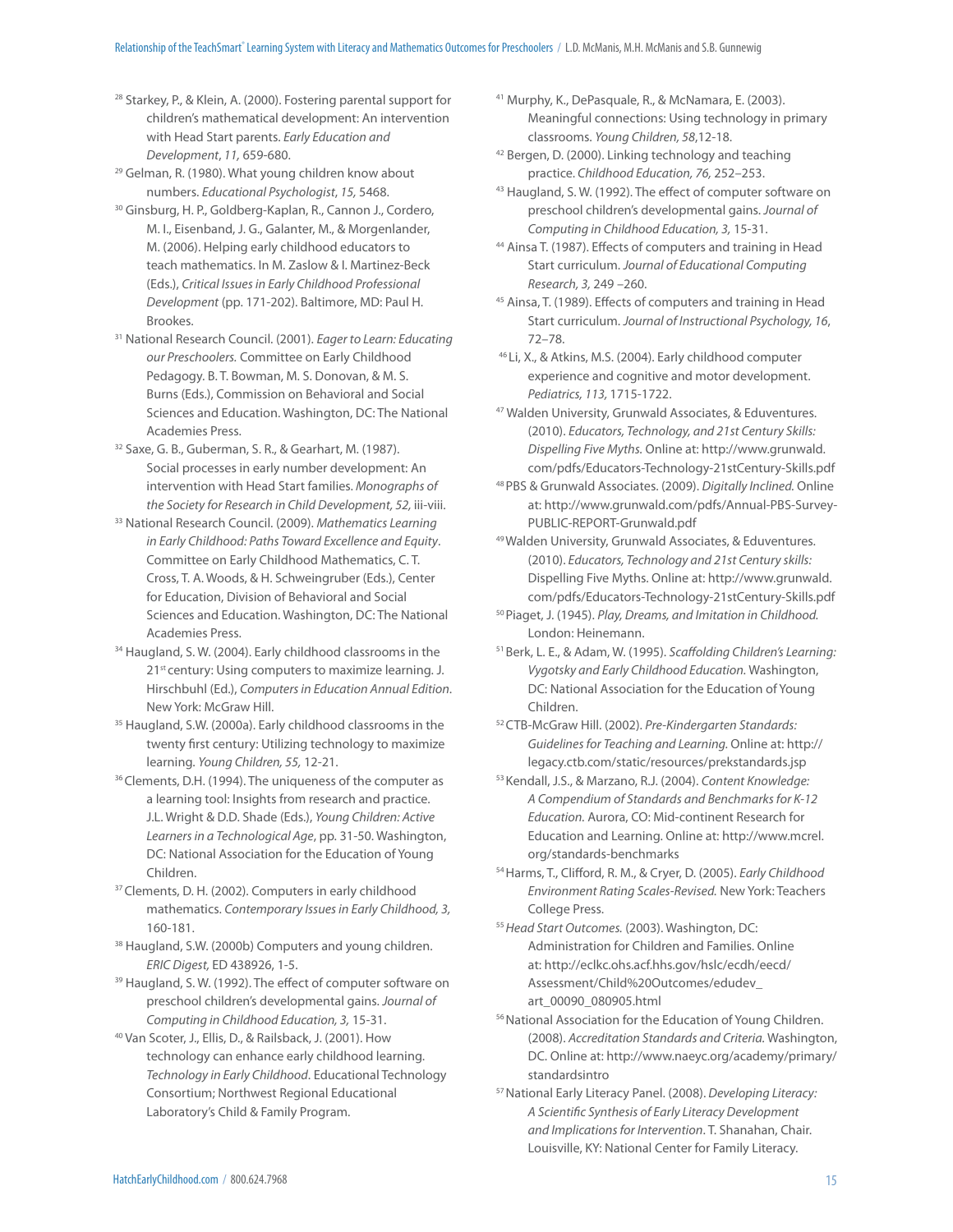- <sup>28</sup> Starkey, P., & Klein, A. (2000). Fostering parental support for children's mathematical development: An intervention with Head Start parents. Early Education and Development, 11, 659-680.
- 29 Gelman, R. (1980). What young children know about numbers. Educational Psychologist, 15, 5468.
- 30 Ginsburg, H. P., Goldberg-Kaplan, R., Cannon J., Cordero, M. I., Eisenband, J. G., Galanter, M., & Morgenlander, M. (2006). Helping early childhood educators to teach mathematics. In M. Zaslow & I. Martinez-Beck (Eds.), Critical Issues in Early Childhood Professional Development (pp. 171-202). Baltimore, MD: Paul H. Brookes.
- 31 National Research Council. (2001). Eager to Learn: Educating our Preschoolers. Committee on Early Childhood Pedagogy. B. T. Bowman, M. S. Donovan, & M. S. Burns (Eds.), Commission on Behavioral and Social Sciences and Education. Washington, DC: The National Academies Press.
- <sup>32</sup> Saxe, G. B., Guberman, S. R., & Gearhart, M. (1987). Social processes in early number development: An intervention with Head Start families. Monographs of the Society for Research in Child Development, 52, iii-viii.
- 33 National Research Council. (2009). Mathematics Learning in Early Childhood: Paths Toward Excellence and Equity. Committee on Early Childhood Mathematics, C. T. Cross, T. A. Woods, & H. Schweingruber (Eds.), Center for Education, Division of Behavioral and Social Sciences and Education. Washington, DC: The National Academies Press.
- 34 Haugland, S. W. (2004). Early childhood classrooms in the 21<sup>st</sup> century: Using computers to maximize learning. J. Hirschbuhl (Ed.), Computers in Education Annual Edition. New York: McGraw Hill.
- <sup>35</sup> Haugland, S.W. (2000a). Early childhood classrooms in the twenty first century: Utilizing technology to maximize learning. Young Children, 55, 12-21.
- <sup>36</sup> Clements, D.H. (1994). The uniqueness of the computer as a learning tool: Insights from research and practice. J.L. Wright & D.D. Shade (Eds.), Young Children: Active Learners in a Technological Age, pp. 31-50. Washington, DC: National Association for the Education of Young Children.
- <sup>37</sup> Clements, D. H. (2002). Computers in early childhood mathematics. Contemporary Issues in Early Childhood, 3, 160-181.
- 38 Haugland, S.W. (2000b) Computers and young children. ERIC Digest, ED 438926, 1-5.
- <sup>39</sup> Haugland, S. W. (1992). The effect of computer software on preschool children's developmental gains. Journal of Computing in Childhood Education, 3, 15-31.
- 40 Van Scoter, J., Ellis, D., & Railsback, J. (2001). How technology can enhance early childhood learning. Technology in Early Childhood. Educational Technology Consortium; Northwest Regional Educational Laboratory's Child & Family Program.
- 41 Murphy, K., DePasquale, R., & McNamara, E. (2003). Meaningful connections: Using technology in primary classrooms. Young Children, 58,12-18.
- <sup>42</sup> Bergen, D. (2000). Linking technology and teaching practice. Childhood Education, 76, 252–253.
- <sup>43</sup> Haugland, S. W. (1992). The effect of computer software on preschool children's developmental gains. Journal of Computing in Childhood Education, 3, 15-31.
- <sup>44</sup> Ainsa T. (1987). Effects of computers and training in Head Start curriculum. Journal of Educational Computing Research, 3, 249 –260.
- 45 Ainsa, T. (1989). Effects of computers and training in Head Start curriculum. Journal of Instructional Psychology, 16, 72–78.
- 46 Li, X., & Atkins, M.S. (2004). Early childhood computer experience and cognitive and motor development. Pediatrics, 113, 1715-1722.
- 47 Walden University, Grunwald Associates, & Eduventures. (2010). Educators, Technology, and 21st Century Skills: Dispelling Five Myths. Online at: http://www.grunwald. com/pdfs/Educators-Technology-21stCentury-Skills.pdf
- 48 PBS & Grunwald Associates. (2009). Digitally Inclined. Online at: http://www.grunwald.com/pdfs/Annual-PBS-Survey-PUBLIC-REPORT-Grunwald.pdf
- 49 Walden University, Grunwald Associates, & Eduventures. (2010). Educators, Technology and 21st Century skills: Dispelling Five Myths. Online at: http://www.grunwald. com/pdfs/Educators-Technology-21stCentury-Skills.pdf
- 50 Piaget, J. (1945). Play, Dreams, and Imitation in Childhood. London: Heinemann.
- 51 Berk, L. E., & Adam, W. (1995). Scaffolding Children's Learning: Vygotsky and Early Childhood Education. Washington, DC: National Association for the Education of Young Children.
- 52 CTB-McGraw Hill. (2002). Pre-Kindergarten Standards: Guidelines for Teaching and Learning. Online at: http:// legacy.ctb.com/static/resources/prekstandards.jsp
- 53 Kendall, J.S., & Marzano, R.J. (2004). Content Knowledge: A Compendium of Standards and Benchmarks for K-12 Education. Aurora, CO: Mid-continent Research for Education and Learning. Online at: http://www.mcrel. org/standards-benchmarks
- 54 Harms, T., Clifford, R. M., & Cryer, D. (2005). Early Childhood Environment Rating Scales-Revised. New York: Teachers College Press.
- 55 Head Start Outcomes. (2003). Washington, DC: Administration for Children and Families. Online at: http://eclkc.ohs.acf.hhs.gov/hslc/ecdh/eecd/ Assessment/Child%20Outcomes/edudev\_ art\_00090\_080905.html
- 56 National Association for the Education of Young Children. (2008). Accreditation Standards and Criteria. Washington, DC. Online at: http://www.naeyc.org/academy/primary/ standardsintro
- 57 National Early Literacy Panel. (2008). Developing Literacy: A Scientific Synthesis of Early Literacy Development and Implications for Intervention. T. Shanahan, Chair. Louisville, KY: National Center for Family Literacy.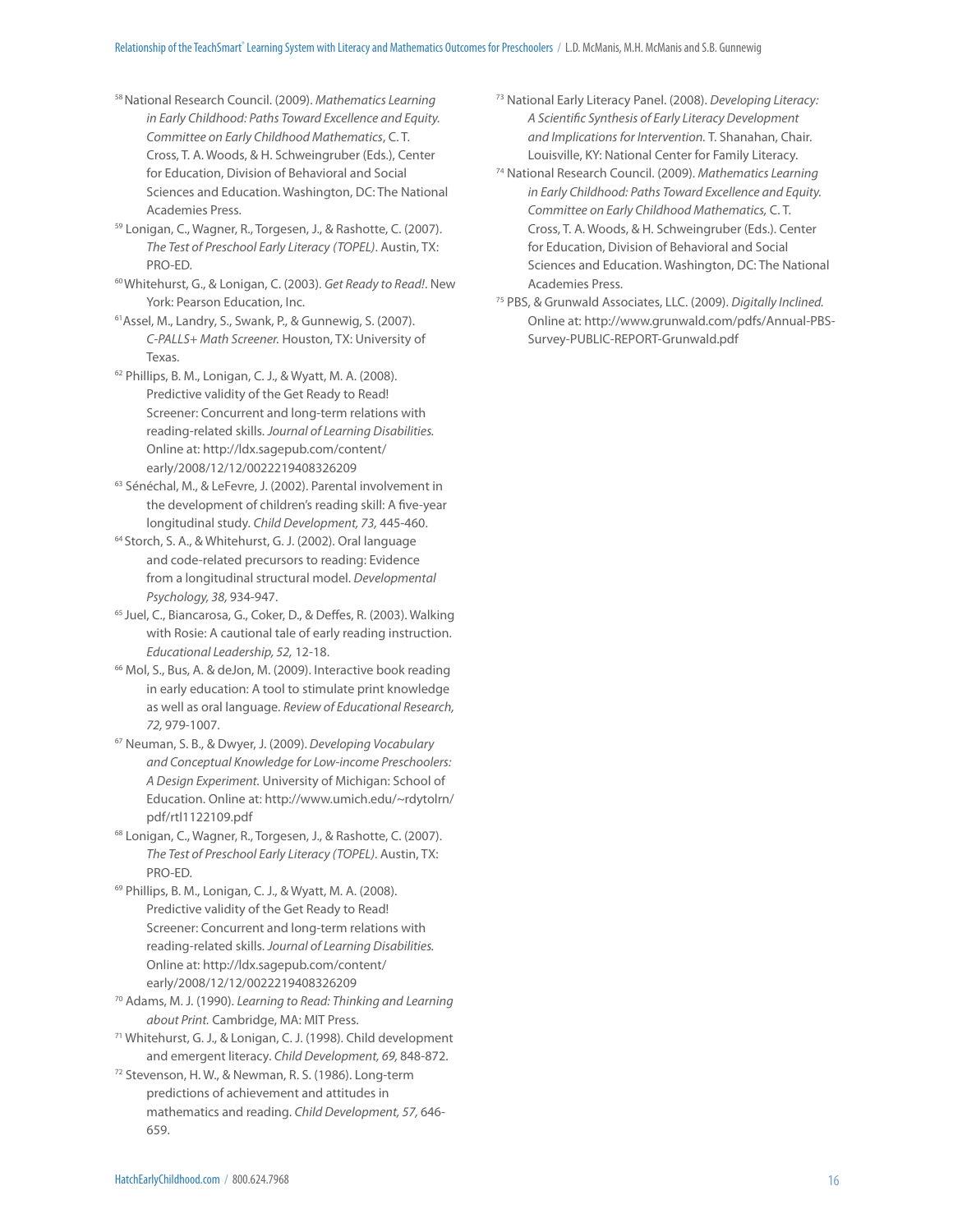- 58 National Research Council. (2009). Mathematics Learning in Early Childhood: Paths Toward Excellence and Equity. Committee on Early Childhood Mathematics, C. T. Cross, T. A. Woods, & H. Schweingruber (Eds.), Center for Education, Division of Behavioral and Social Sciences and Education. Washington, DC: The National Academies Press.
- 59 Lonigan, C., Wagner, R., Torgesen, J., & Rashotte, C. (2007). The Test of Preschool Early Literacy (TOPEL). Austin, TX: PRO-ED.
- <sup>60</sup> Whitehurst, G., & Lonigan, C. (2003). Get Ready to Read!. New York: Pearson Education, Inc.
- 61Assel, M., Landry, S., Swank, P., & Gunnewig, S. (2007). C-PALLS+ Math Screener. Houston, TX: University of Texas.
- 62 Phillips, B. M., Lonigan, C. J., & Wyatt, M. A. (2008). Predictive validity of the Get Ready to Read! Screener: Concurrent and long-term relations with reading-related skills. Journal of Learning Disabilities. Online at: http://ldx.sagepub.com/content/ early/2008/12/12/0022219408326209
- 63 Sénéchal, M., & LeFevre, J. (2002). Parental involvement in the development of children's reading skill: A five-year longitudinal study. Child Development, 73, 445-460.
- 64 Storch, S. A., & Whitehurst, G. J. (2002). Oral language and code-related precursors to reading: Evidence from a longitudinal structural model. Developmental Psychology, 38, 934-947.
- <sup>65</sup> Juel, C., Biancarosa, G., Coker, D., & Deffes, R. (2003). Walking with Rosie: A cautional tale of early reading instruction. Educational Leadership, 52, 12-18.
- <sup>66</sup> Mol, S., Bus, A. & deJon, M. (2009). Interactive book reading in early education: A tool to stimulate print knowledge as well as oral language. Review of Educational Research, 72, 979-1007.
- 67 Neuman, S. B., & Dwyer, J. (2009). Developing Vocabulary and Conceptual Knowledge for Low-income Preschoolers: A Design Experiment. University of Michigan: School of Education. Online at: http://www.umich.edu/~rdytolrn/ pdf/rtl1122109.pdf
- 68 Lonigan, C., Wagner, R., Torgesen, J., & Rashotte, C. (2007). The Test of Preschool Early Literacy (TOPEL). Austin, TX: PRO-ED.
- 69 Phillips, B. M., Lonigan, C. J., & Wyatt, M. A. (2008). Predictive validity of the Get Ready to Read! Screener: Concurrent and long-term relations with reading-related skills. Journal of Learning Disabilities. Online at: http://ldx.sagepub.com/content/ early/2008/12/12/0022219408326209
- 70 Adams, M. J. (1990). Learning to Read: Thinking and Learning about Print. Cambridge, MA: MIT Press.
- 71 Whitehurst, G. J., & Lonigan, C. J. (1998). Child development and emergent literacy. Child Development, 69, 848-872.
- 72 Stevenson, H. W., & Newman, R. S. (1986). Long-term predictions of achievement and attitudes in mathematics and reading. Child Development, 57, 646- 659.
- 73 National Early Literacy Panel. (2008). Developing Literacy: A Scientific Synthesis of Early Literacy Development and Implications for Intervention. T. Shanahan, Chair. Louisville, KY: National Center for Family Literacy.
- 74 National Research Council. (2009). Mathematics Learning in Early Childhood: Paths Toward Excellence and Equity. Committee on Early Childhood Mathematics, C. T. Cross, T. A. Woods, & H. Schweingruber (Eds.). Center for Education, Division of Behavioral and Social Sciences and Education. Washington, DC: The National Academies Press.
- 75 PBS, & Grunwald Associates, LLC. (2009). Digitally Inclined. Online at: http://www.grunwald.com/pdfs/Annual-PBS-Survey-PUBLIC-REPORT-Grunwald.pdf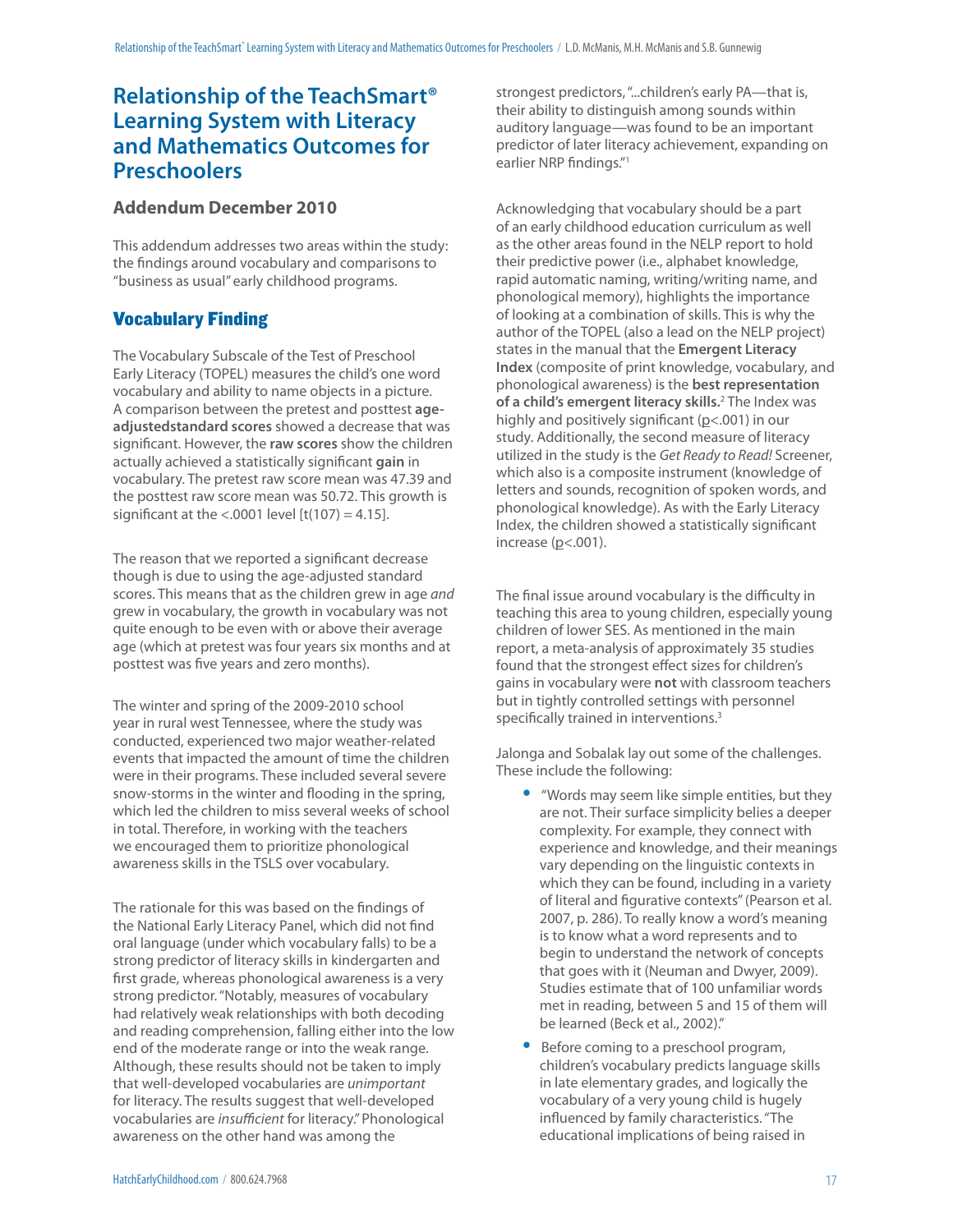# **Relationship of the TeachSmart® Learning System with Literacy and Mathematics Outcomes for Preschoolers**

# **Addendum December 2010**

This addendum addresses two areas within the study: the findings around vocabulary and comparisons to "business as usual" early childhood programs.

# Vocabulary Finding

The Vocabulary Subscale of the Test of Preschool Early Literacy (TOPEL) measures the child's one word vocabulary and ability to name objects in a picture. A comparison between the pretest and posttest **ageadjustedstandard scores** showed a decrease that was significant. However, the raw scores show the children actually achieved a statistically significant gain in vocabulary. The pretest raw score mean was 47.39 and the posttest raw score mean was 50.72. This growth is significant at the  $<$  0001 level [t(107) = 4.15].

The reason that we reported a significant decrease though is due to using the age-adjusted standard scores. This means that as the children grew in age and grew in vocabulary, the growth in vocabulary was not quite enough to be even with or above their average age (which at pretest was four years six months and at posttest was five years and zero months).

The winter and spring of the 2009-2010 school year in rural west Tennessee, where the study was conducted, experienced two major weather-related events that impacted the amount of time the children were in their programs. These included several severe snow-storms in the winter and flooding in the spring, which led the children to miss several weeks of school in total. Therefore, in working with the teachers we encouraged them to prioritize phonological awareness skills in the TSLS over vocabulary.

The rationale for this was based on the findings of the National Early Literacy Panel, which did not find oral language (under which vocabulary falls) to be a strong predictor of literacy skills in kindergarten and first grade, whereas phonological awareness is a very strong predictor. "Notably, measures of vocabulary had relatively weak relationships with both decoding and reading comprehension, falling either into the low end of the moderate range or into the weak range. Although, these results should not be taken to imply that well-developed vocabularies are unimportant for literacy. The results suggest that well-developed vocabularies are insufficient for literacy." Phonological awareness on the other hand was among the

strongest predictors, "...children's early PA—that is, their ability to distinguish among sounds within auditory language—was found to be an important predictor of later literacy achievement, expanding on earlier NRP findings."1

Acknowledging that vocabulary should be a part of an early childhood education curriculum as well as the other areas found in the NELP report to hold their predictive power (i.e., alphabet knowledge, rapid automatic naming, writing/writing name, and phonological memory), highlights the importance of looking at a combination of skills. This is why the author of the TOPEL (also a lead on the NELP project) states in the manual that the **Emergent Literacy Index** (composite of print knowledge, vocabulary, and phonological awareness) is the **best representation of a child's emergent literacy skills.**<sup>2</sup> The Index was highly and positively significant ( $p$ <.001) in our study. Additionally, the second measure of literacy utilized in the study is the Get Ready to Read! Screener, which also is a composite instrument (knowledge of letters and sounds, recognition of spoken words, and phonological knowledge). As with the Early Literacy Index, the children showed a statistically significant increase  $(p< .001)$ .

The final issue around vocabulary is the difficulty in teaching this area to young children, especially young children of lower SES. As mentioned in the main report, a meta-analysis of approximately 35 studies found that the strongest effect sizes for children's gains in vocabulary were **not** with classroom teachers but in tightly controlled settings with personnel specifically trained in interventions.<sup>3</sup>

Jalonga and Sobalak lay out some of the challenges. These include the following:

- ''Words may seem like simple entities, but they are not. Their surface simplicity belies a deeper complexity. For example, they connect with experience and knowledge, and their meanings vary depending on the linguistic contexts in which they can be found, including in a variety of literal and figurative contexts" (Pearson et al. 2007, p. 286). To really know a word's meaning is to know what a word represents and to begin to understand the network of concepts that goes with it (Neuman and Dwyer, 2009). Studies estimate that of 100 unfamiliar words met in reading, between 5 and 15 of them will be learned (Beck et al., 2002)."
- Before coming to a preschool program, children's vocabulary predicts language skills in late elementary grades, and logically the vocabulary of a very young child is hugely influenced by family characteristics. "The educational implications of being raised in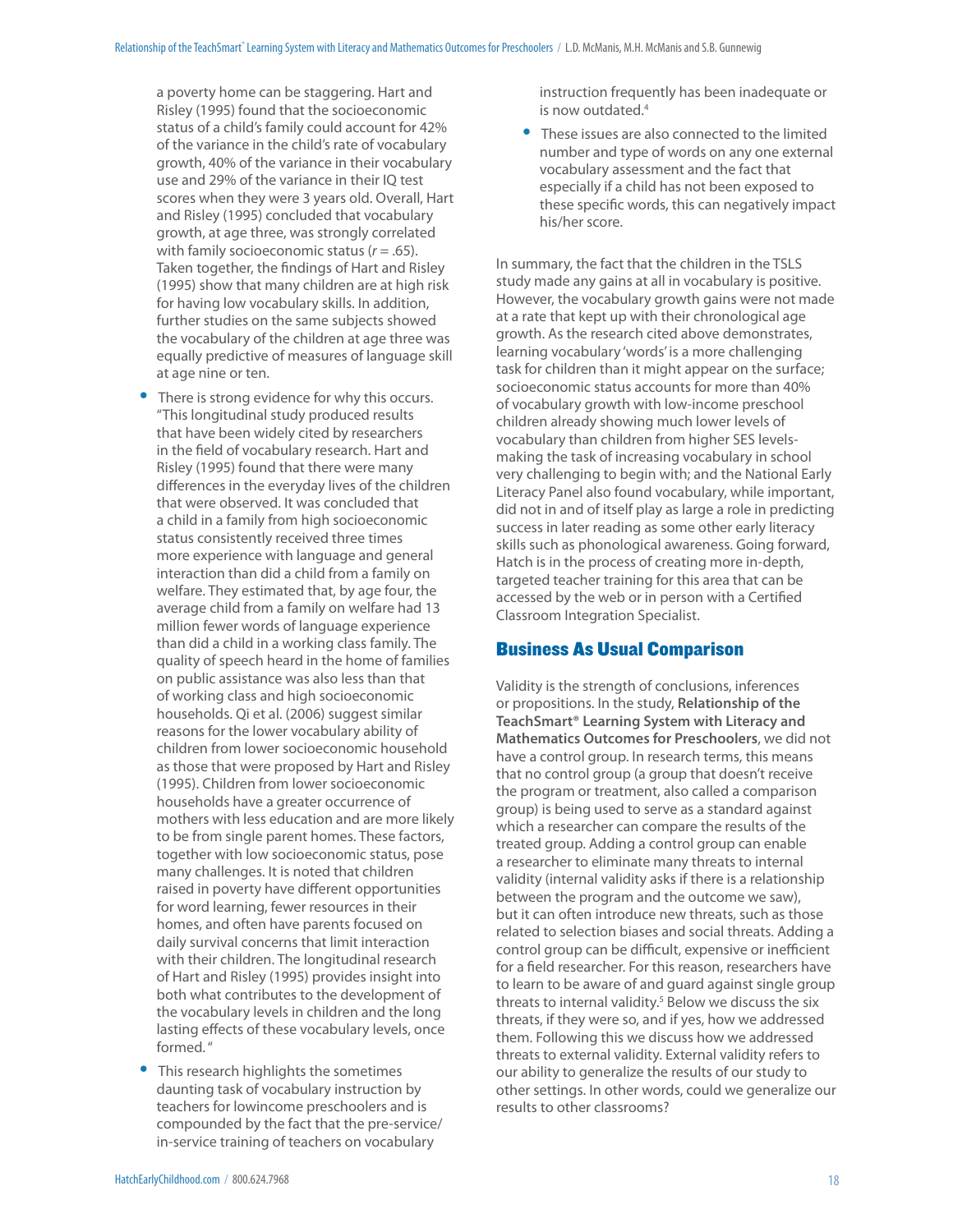a poverty home can be staggering. Hart and Risley (1995) found that the socioeconomic status of a child's family could account for 42% of the variance in the child's rate of vocabulary growth, 40% of the variance in their vocabulary use and 29% of the variance in their IQ test scores when they were 3 years old. Overall, Hart and Risley (1995) concluded that vocabulary growth, at age three, was strongly correlated with family socioeconomic status ( $r = .65$ ). Taken together, the findings of Hart and Risley (1995) show that many children are at high risk for having low vocabulary skills. In addition, further studies on the same subjects showed the vocabulary of the children at age three was equally predictive of measures of language skill at age nine or ten.

- There is strong evidence for why this occurs. "This longitudinal study produced results that have been widely cited by researchers in the field of vocabulary research. Hart and Risley (1995) found that there were many differences in the everyday lives of the children that were observed. It was concluded that a child in a family from high socioeconomic status consistently received three times more experience with language and general interaction than did a child from a family on welfare. They estimated that, by age four, the average child from a family on welfare had 13 million fewer words of language experience than did a child in a working class family. The quality of speech heard in the home of families on public assistance was also less than that of working class and high socioeconomic households. Qi et al. (2006) suggest similar reasons for the lower vocabulary ability of children from lower socioeconomic household as those that were proposed by Hart and Risley (1995). Children from lower socioeconomic households have a greater occurrence of mothers with less education and are more likely to be from single parent homes. These factors, together with low socioeconomic status, pose many challenges. It is noted that children raised in poverty have different opportunities for word learning, fewer resources in their homes, and often have parents focused on daily survival concerns that limit interaction with their children. The longitudinal research of Hart and Risley (1995) provides insight into both what contributes to the development of the vocabulary levels in children and the long lasting effects of these vocabulary levels, once formed. "
- This research highlights the sometimes daunting task of vocabulary instruction by teachers for lowincome preschoolers and is compounded by the fact that the pre-service/ in-service training of teachers on vocabulary

instruction frequently has been inadequate or is now outdated.4

These issues are also connected to the limited number and type of words on any one external vocabulary assessment and the fact that especially if a child has not been exposed to these specific words, this can negatively impact his/her score.

In summary, the fact that the children in the TSLS study made any gains at all in vocabulary is positive. However, the vocabulary growth gains were not made at a rate that kept up with their chronological age growth. As the research cited above demonstrates, learning vocabulary 'words' is a more challenging task for children than it might appear on the surface; socioeconomic status accounts for more than 40% of vocabulary growth with low-income preschool children already showing much lower levels of vocabulary than children from higher SES levelsmaking the task of increasing vocabulary in school very challenging to begin with; and the National Early Literacy Panel also found vocabulary, while important, did not in and of itself play as large a role in predicting success in later reading as some other early literacy skills such as phonological awareness. Going forward, Hatch is in the process of creating more in-depth, targeted teacher training for this area that can be accessed by the web or in person with a Certified Classroom Integration Specialist.

# Business As Usual Comparison

Validity is the strength of conclusions, inferences or propositions. In the study, **Relationship of the TeachSmart® Learning System with Literacy and Mathematics Outcomes for Preschoolers**, we did not have a control group. In research terms, this means that no control group (a group that doesn't receive the program or treatment, also called a comparison group) is being used to serve as a standard against which a researcher can compare the results of the treated group. Adding a control group can enable a researcher to eliminate many threats to internal validity (internal validity asks if there is a relationship between the program and the outcome we saw), but it can often introduce new threats, such as those related to selection biases and social threats. Adding a control group can be difficult, expensive or inefficient for a field researcher. For this reason, researchers have to learn to be aware of and guard against single group threats to internal validity.<sup>5</sup> Below we discuss the six threats, if they were so, and if yes, how we addressed them. Following this we discuss how we addressed threats to external validity. External validity refers to our ability to generalize the results of our study to other settings. In other words, could we generalize our results to other classrooms?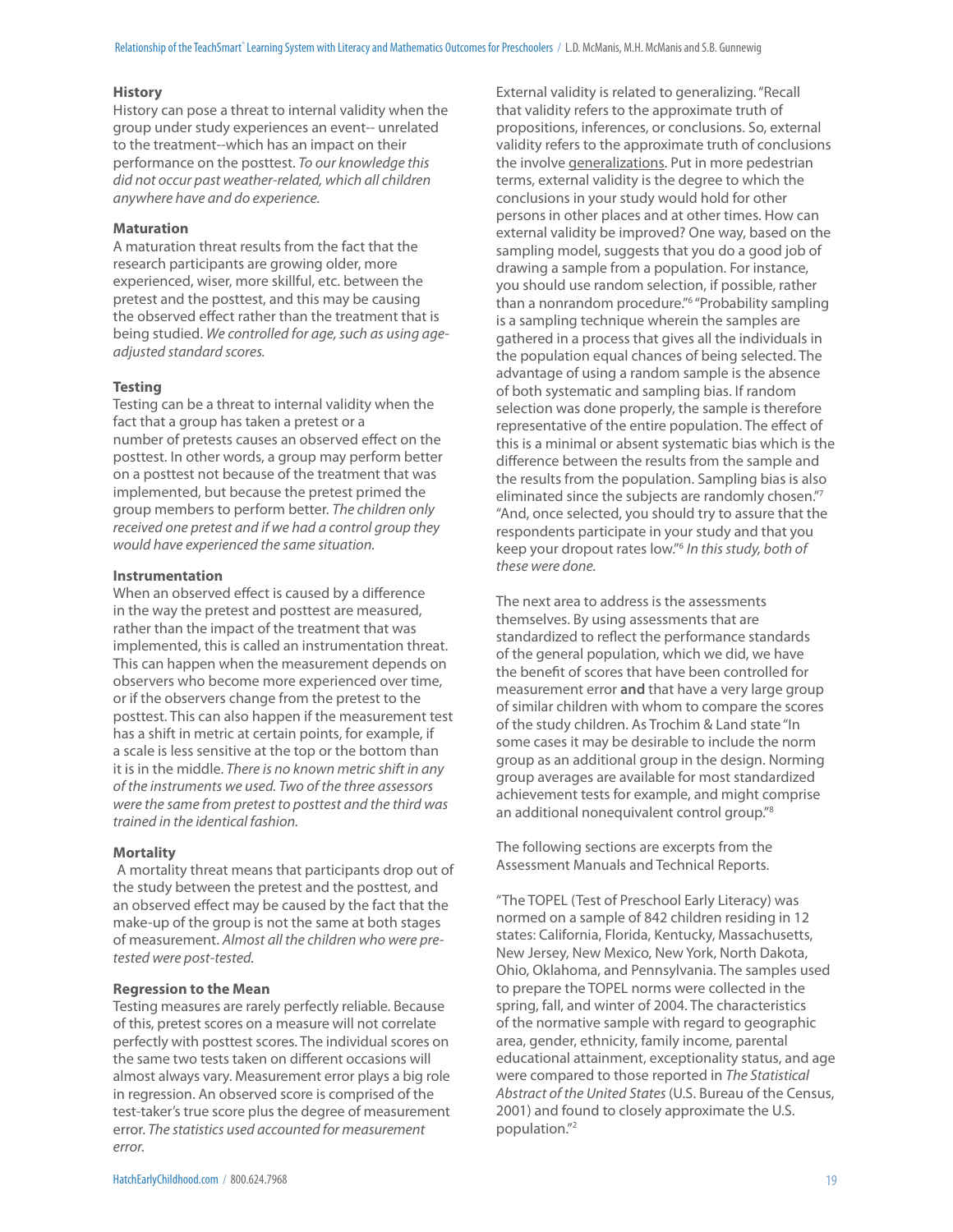#### **History**

History can pose a threat to internal validity when the group under study experiences an event-- unrelated to the treatment--which has an impact on their performance on the posttest. To our knowledge this did not occur past weather-related, which all children anywhere have and do experience.

#### **Maturation**

A maturation threat results from the fact that the research participants are growing older, more experienced, wiser, more skillful, etc. between the pretest and the posttest, and this may be causing the observed effect rather than the treatment that is being studied. We controlled for age, such as using ageadjusted standard scores.

#### **Testing**

Testing can be a threat to internal validity when the fact that a group has taken a pretest or a number of pretests causes an observed effect on the posttest. In other words, a group may perform better on a posttest not because of the treatment that was implemented, but because the pretest primed the group members to perform better. The children only received one pretest and if we had a control group they would have experienced the same situation.

#### **Instrumentation**

When an observed effect is caused by a difference in the way the pretest and posttest are measured, rather than the impact of the treatment that was implemented, this is called an instrumentation threat. This can happen when the measurement depends on observers who become more experienced over time, or if the observers change from the pretest to the posttest. This can also happen if the measurement test has a shift in metric at certain points, for example, if a scale is less sensitive at the top or the bottom than it is in the middle. There is no known metric shift in any of the instruments we used. Two of the three assessors were the same from pretest to posttest and the third was trained in the identical fashion.

#### **Mortality**

A mortality threat means that participants drop out of the study between the pretest and the posttest, and an observed effect may be caused by the fact that the make-up of the group is not the same at both stages of measurement. Almost all the children who were pretested were post-tested.

#### **Regression to the Mean**

Testing measures are rarely perfectly reliable. Because of this, pretest scores on a measure will not correlate perfectly with posttest scores. The individual scores on the same two tests taken on different occasions will almost always vary. Measurement error plays a big role in regression. An observed score is comprised of the test-taker's true score plus the degree of measurement error. The statistics used accounted for measurement error.

External validity is related to generalizing. "Recall that validity refers to the approximate truth of propositions, inferences, or conclusions. So, external validity refers to the approximate truth of conclusions the involve generalizations. Put in more pedestrian terms, external validity is the degree to which the conclusions in your study would hold for other persons in other places and at other times. How can external validity be improved? One way, based on the sampling model, suggests that you do a good job of drawing a sample from a population. For instance, you should use random selection, if possible, rather than a nonrandom procedure."6 "Probability sampling is a sampling technique wherein the samples are gathered in a process that gives all the individuals in the population equal chances of being selected. The advantage of using a random sample is the absence of both systematic and sampling bias. If random selection was done properly, the sample is therefore representative of the entire population. The effect of this is a minimal or absent systematic bias which is the difference between the results from the sample and the results from the population. Sampling bias is also eliminated since the subjects are randomly chosen."7 "And, once selected, you should try to assure that the respondents participate in your study and that you keep your dropout rates low."6 In this study, both of these were done.

The next area to address is the assessments themselves. By using assessments that are standardized to reflect the performance standards of the general population, which we did, we have the benefit of scores that have been controlled for measurement error **and** that have a very large group of similar children with whom to compare the scores of the study children. As Trochim & Land state "In some cases it may be desirable to include the norm group as an additional group in the design. Norming group averages are available for most standardized achievement tests for example, and might comprise an additional nonequivalent control group."8

The following sections are excerpts from the Assessment Manuals and Technical Reports.

"The TOPEL (Test of Preschool Early Literacy) was normed on a sample of 842 children residing in 12 states: California, Florida, Kentucky, Massachusetts, New Jersey, New Mexico, New York, North Dakota, Ohio, Oklahoma, and Pennsylvania. The samples used to prepare the TOPEL norms were collected in the spring, fall, and winter of 2004. The characteristics of the normative sample with regard to geographic area, gender, ethnicity, family income, parental educational attainment, exceptionality status, and age were compared to those reported in The Statistical Abstract of the United States (U.S. Bureau of the Census, 2001) and found to closely approximate the U.S. population."2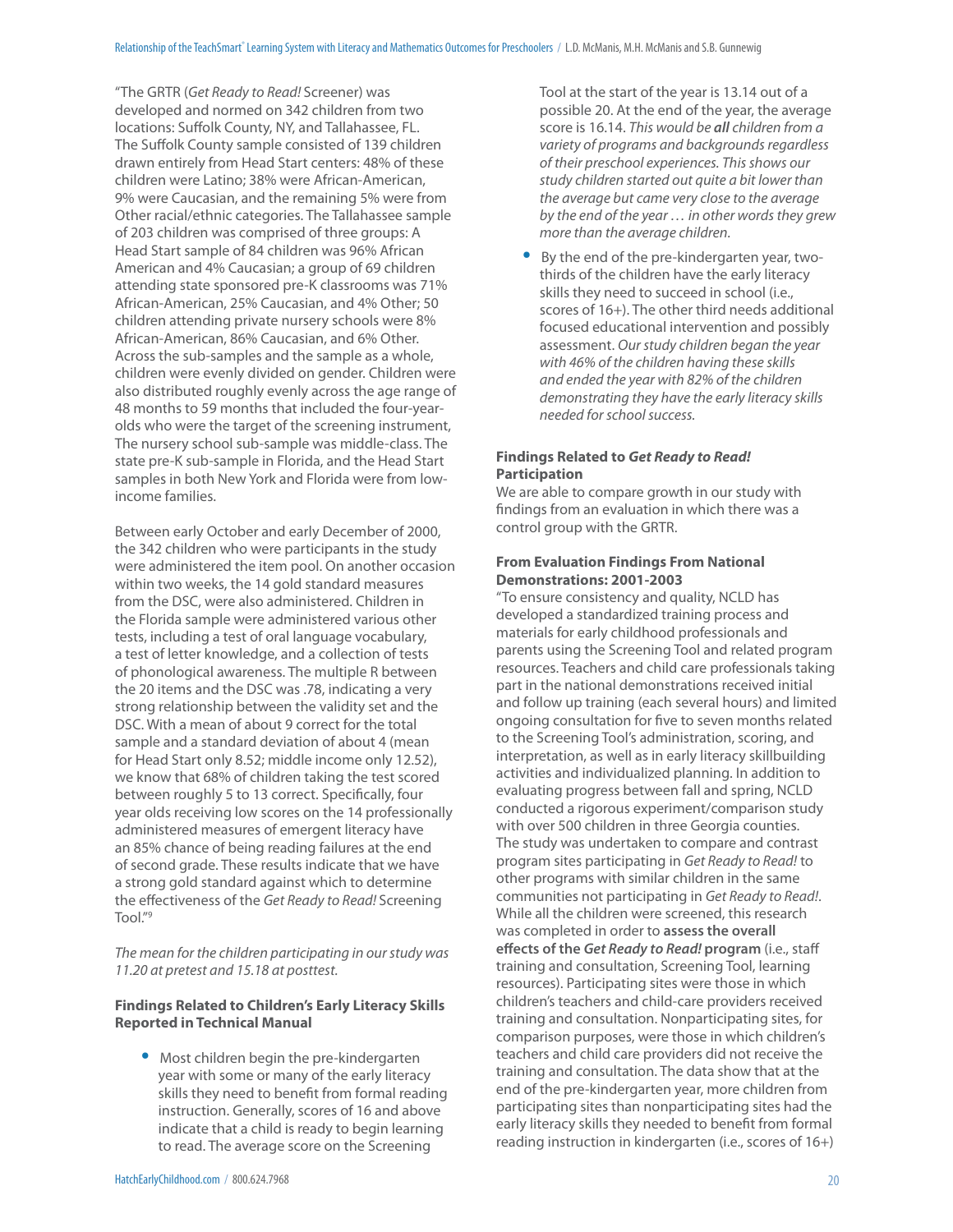"The GRTR (Get Ready to Read! Screener) was developed and normed on 342 children from two locations: Suffolk County, NY, and Tallahassee, FL. The Suffolk County sample consisted of 139 children drawn entirely from Head Start centers: 48% of these children were Latino; 38% were African-American, 9% were Caucasian, and the remaining 5% were from Other racial/ethnic categories. The Tallahassee sample of 203 children was comprised of three groups: A Head Start sample of 84 children was 96% African American and 4% Caucasian; a group of 69 children attending state sponsored pre-K classrooms was 71% African-American, 25% Caucasian, and 4% Other; 50 children attending private nursery schools were 8% African-American, 86% Caucasian, and 6% Other. Across the sub-samples and the sample as a whole, children were evenly divided on gender. Children were also distributed roughly evenly across the age range of 48 months to 59 months that included the four-yearolds who were the target of the screening instrument, The nursery school sub-sample was middle-class. The state pre-K sub-sample in Florida, and the Head Start samples in both New York and Florida were from lowincome families.

Between early October and early December of 2000, the 342 children who were participants in the study were administered the item pool. On another occasion within two weeks, the 14 gold standard measures from the DSC, were also administered. Children in the Florida sample were administered various other tests, including a test of oral language vocabulary, a test of letter knowledge, and a collection of tests of phonological awareness. The multiple R between the 20 items and the DSC was .78, indicating a very strong relationship between the validity set and the DSC. With a mean of about 9 correct for the total sample and a standard deviation of about 4 (mean for Head Start only 8.52; middle income only 12.52), we know that 68% of children taking the test scored between roughly 5 to 13 correct. Specifically, four year olds receiving low scores on the 14 professionally administered measures of emergent literacy have an 85% chance of being reading failures at the end of second grade. These results indicate that we have a strong gold standard against which to determine the effectiveness of the Get Ready to Read! Screening Tool."9

The mean for the children participating in our study was 11.20 at pretest and 15.18 at posttest.

#### **Findings Related to Children's Early Literacy Skills Reported in Technical Manual**

• Most children begin the pre-kindergarten year with some or many of the early literacy skills they need to benefit from formal reading instruction. Generally, scores of 16 and above indicate that a child is ready to begin learning to read. The average score on the Screening

Tool at the start of the year is 13.14 out of a possible 20. At the end of the year, the average score is 16.14. This would be *all* children from a variety of programs and backgrounds regardless of their preschool experiences. This shows our study children started out quite a bit lower than the average but came very close to the average by the end of the year … in other words they grew more than the average children.

• By the end of the pre-kindergarten year, twothirds of the children have the early literacy skills they need to succeed in school (i.e., scores of 16+). The other third needs additional focused educational intervention and possibly assessment. Our study children began the year with 46% of the children having these skills and ended the year with 82% of the children demonstrating they have the early literacy skills needed for school success.

#### **Findings Related to** *Get Ready to Read!* **Participation**

We are able to compare growth in our study with findings from an evaluation in which there was a control group with the GRTR.

#### **From Evaluation Findings From National Demonstrations: 2001-2003**

"To ensure consistency and quality, NCLD has developed a standardized training process and materials for early childhood professionals and parents using the Screening Tool and related program resources. Teachers and child care professionals taking part in the national demonstrations received initial and follow up training (each several hours) and limited ongoing consultation for five to seven months related to the Screening Tool's administration, scoring, and interpretation, as well as in early literacy skillbuilding activities and individualized planning. In addition to evaluating progress between fall and spring, NCLD conducted a rigorous experiment/comparison study with over 500 children in three Georgia counties. The study was undertaken to compare and contrast program sites participating in Get Ready to Read! to other programs with similar children in the same communities not participating in Get Ready to Read!. While all the children were screened, this research was completed in order to **assess the overall eff ects of the** *Get Ready to Read!* **program** (i.e., staff training and consultation, Screening Tool, learning resources). Participating sites were those in which children's teachers and child-care providers received training and consultation. Nonparticipating sites, for comparison purposes, were those in which children's teachers and child care providers did not receive the training and consultation. The data show that at the end of the pre-kindergarten year, more children from participating sites than nonparticipating sites had the early literacy skills they needed to benefit from formal reading instruction in kindergarten (i.e., scores of 16+)